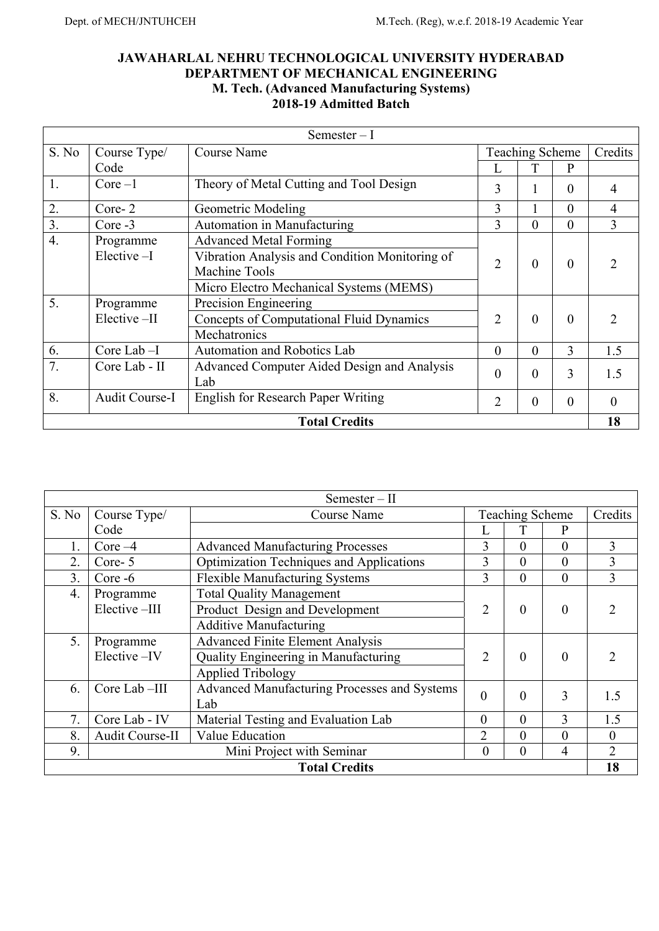# **JAWAHARLAL NEHRU TECHNOLOGICAL UNIVERSITY HYDERABAD DEPARTMENT OF MECHANICAL ENGINEERING M. Tech. (Advanced Manufacturing Systems) 2018-19 Admitted Batch**

| Semester $-I$    |                       |                                                 |                            |          |                |                |
|------------------|-----------------------|-------------------------------------------------|----------------------------|----------|----------------|----------------|
| S. No            | Course Type/          | <b>Course Name</b>                              | <b>Teaching Scheme</b>     |          | Credits        |                |
|                  | Code                  |                                                 |                            |          | P              |                |
| 1.               | $Core-1$              | Theory of Metal Cutting and Tool Design         | 3                          |          | $\theta$       | 4              |
| 2.               | Core-2                | Geometric Modeling                              | 3                          |          | $\theta$       | 4              |
| 3.               | $Core -3$             | Automation in Manufacturing                     | 3                          | $\Omega$ | $\theta$       | 3              |
| $\overline{4}$ . | Programme             | <b>Advanced Metal Forming</b>                   |                            |          |                |                |
|                  | $Elective-I$          | Vibration Analysis and Condition Monitoring of  | $\overline{2}$<br>$\theta$ |          | $\theta$       | っ              |
|                  |                       | Machine Tools                                   |                            |          |                |                |
|                  |                       | Micro Electro Mechanical Systems (MEMS)         |                            |          |                |                |
| 5.               | Programme             | Precision Engineering                           |                            |          |                |                |
|                  | Elective-II           | <b>Concepts of Computational Fluid Dynamics</b> | 2                          | $\theta$ | $\theta$       | $\mathfrak{D}$ |
|                  |                       | Mechatronics                                    |                            |          |                |                |
| 6.               | Core Lab $-I$         | Automation and Robotics Lab                     | $\Omega$                   | $\theta$ | $\overline{3}$ | 1.5            |
| 7.               | Core Lab - II         | Advanced Computer Aided Design and Analysis     | $\Omega$                   | $\theta$ | 3              | 1.5            |
|                  |                       | Lab                                             |                            |          |                |                |
| 8.               | <b>Audit Course-I</b> | <b>English for Research Paper Writing</b>       | 2                          | $\theta$ | $\theta$       | $\theta$       |
|                  |                       | <b>Total Credits</b>                            |                            |          |                | 18             |

| $Semester - II$  |                                                        |                                                 |                        |                |                |                |  |
|------------------|--------------------------------------------------------|-------------------------------------------------|------------------------|----------------|----------------|----------------|--|
| S. No            | Course Type/                                           | <b>Course Name</b>                              | <b>Teaching Scheme</b> |                | Credits        |                |  |
|                  | Code                                                   |                                                 |                        |                | P              |                |  |
| 1.               | Core $-4$                                              | <b>Advanced Manufacturing Processes</b>         | 3                      | 0              | $\theta$       | 3              |  |
| 2.               | Core-5                                                 | <b>Optimization Techniques and Applications</b> | 3                      | $\theta$       | $\theta$       | 3              |  |
| 3.               | Core -6                                                | Flexible Manufacturing Systems                  | 3                      | $\overline{0}$ | $\theta$       | $\overline{3}$ |  |
| $\overline{4}$ . | Programme                                              | <b>Total Quality Management</b>                 |                        |                |                |                |  |
|                  | Elective-III                                           | Product Design and Development                  | 2                      | $\theta$       | $\theta$       | ာ              |  |
|                  |                                                        | <b>Additive Manufacturing</b>                   |                        |                |                |                |  |
| 5.               | Programme                                              | <b>Advanced Finite Element Analysis</b>         |                        |                |                |                |  |
|                  | Elective-IV                                            | Quality Engineering in Manufacturing            | $\overline{2}$         | $\theta$       | $\theta$       | C              |  |
|                  |                                                        | <b>Applied Tribology</b>                        |                        |                |                |                |  |
| 6.               | Core Lab-III                                           | Advanced Manufacturing Processes and Systems    | $\theta$               | $\theta$       | 3              | 1.5            |  |
|                  |                                                        | Lab                                             |                        |                |                |                |  |
| 7.               | Core Lab - IV                                          | Material Testing and Evaluation Lab             | 0                      | $\theta$       | 3              | 1.5            |  |
| 8.               | Audit Course-II                                        | Value Education                                 | $\overline{2}$         | $\theta$       | $\theta$       | $\theta$       |  |
| 9.               | Mini Project with Seminar<br>$\theta$<br>4<br>$\theta$ |                                                 |                        |                | $\overline{2}$ |                |  |
|                  | 18<br><b>Total Credits</b>                             |                                                 |                        |                |                |                |  |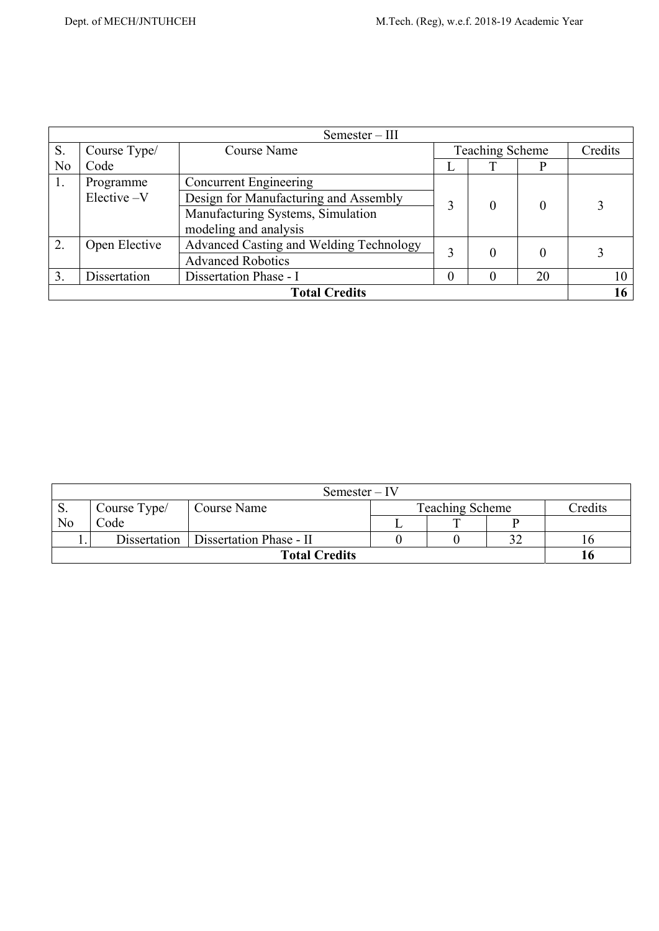|    | $Semester - III$ |                                         |   |          |          |         |
|----|------------------|-----------------------------------------|---|----------|----------|---------|
| S. | Course Type/     | <b>Teaching Scheme</b><br>Course Name   |   |          |          | Credits |
| No | Code             |                                         |   | ᡣ        |          |         |
| 1. | Programme        | <b>Concurrent Engineering</b>           |   |          |          |         |
|    | Elective -V      | Design for Manufacturing and Assembly   | 0 |          |          |         |
|    |                  | Manufacturing Systems, Simulation       |   |          |          |         |
|    |                  | modeling and analysis                   |   |          |          |         |
| 2. | Open Elective    | Advanced Casting and Welding Technology |   | 0        |          |         |
|    |                  | <b>Advanced Robotics</b>                |   |          | $\theta$ |         |
| 3. | Dissertation     | Dissertation Phase - I                  | 0 | $\Omega$ | 20       | 10      |
|    |                  | <b>Total Credits</b>                    |   |          |          | 16      |

|                      | $Semester - IV$ |                                        |  |                        |    |         |
|----------------------|-----------------|----------------------------------------|--|------------------------|----|---------|
| <u>. Э.</u>          | Course Type/    | Course Name                            |  | <b>Teaching Scheme</b> |    | Credits |
| No                   | Code            |                                        |  |                        |    |         |
|                      |                 | Dissertation   Dissertation Phase - II |  |                        | າາ |         |
| <b>Total Credits</b> |                 |                                        |  |                        |    |         |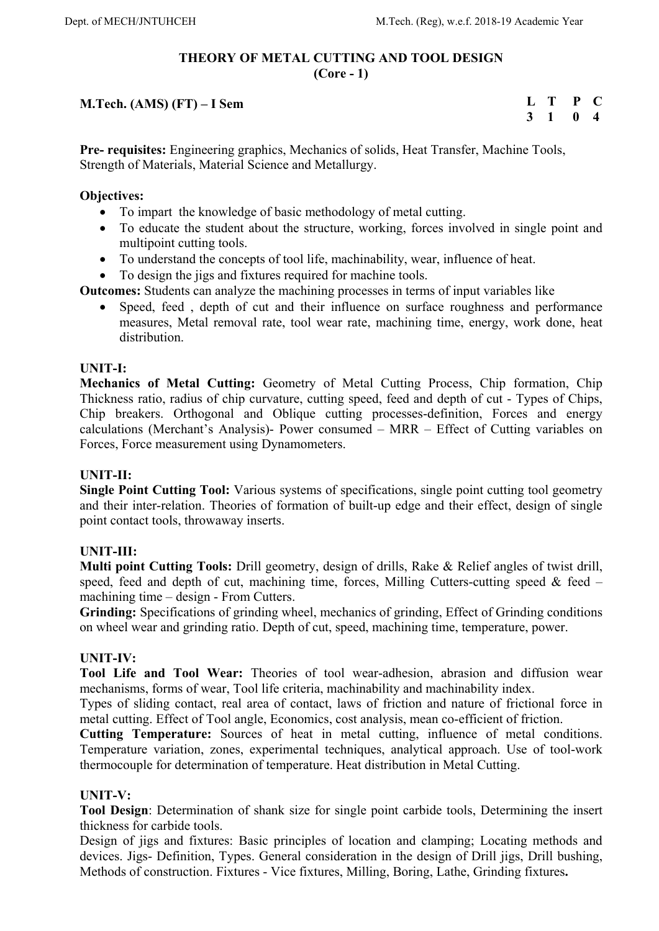## **THEORY OF METAL CUTTING AND TOOL DESIGN (Core - 1)**

# **M.Tech. (AMS) (FT) – I Sem**

**L T P C 3 1 0 4** 

**Pre- requisites:** Engineering graphics, Mechanics of solids, Heat Transfer, Machine Tools, Strength of Materials, Material Science and Metallurgy.

## **Objectives:**

- To impart the knowledge of basic methodology of metal cutting.
- To educate the student about the structure, working, forces involved in single point and multipoint cutting tools.
- To understand the concepts of tool life, machinability, wear, influence of heat.
- To design the jigs and fixtures required for machine tools.

**Outcomes:** Students can analyze the machining processes in terms of input variables like

 Speed, feed , depth of cut and their influence on surface roughness and performance measures, Metal removal rate, tool wear rate, machining time, energy, work done, heat distribution.

## **UNIT-I:**

**Mechanics of Metal Cutting:** Geometry of Metal Cutting Process, Chip formation, Chip Thickness ratio, radius of chip curvature, cutting speed, feed and depth of cut - Types of Chips, Chip breakers. Orthogonal and Oblique cutting processes-definition, Forces and energy calculations (Merchant's Analysis)- Power consumed – MRR – Effect of Cutting variables on Forces, Force measurement using Dynamometers.

## **UNIT-II:**

**Single Point Cutting Tool:** Various systems of specifications, single point cutting tool geometry and their inter-relation. Theories of formation of built-up edge and their effect, design of single point contact tools, throwaway inserts.

## **UNIT-III:**

**Multi point Cutting Tools:** Drill geometry, design of drills, Rake & Relief angles of twist drill, speed, feed and depth of cut, machining time, forces, Milling Cutters-cutting speed  $\&$  feed – machining time – design - From Cutters.

**Grinding:** Specifications of grinding wheel, mechanics of grinding, Effect of Grinding conditions on wheel wear and grinding ratio. Depth of cut, speed, machining time, temperature, power.

## **UNIT-IV:**

**Tool Life and Tool Wear:** Theories of tool wear-adhesion, abrasion and diffusion wear mechanisms, forms of wear, Tool life criteria, machinability and machinability index.

Types of sliding contact, real area of contact, laws of friction and nature of frictional force in metal cutting. Effect of Tool angle, Economics, cost analysis, mean co-efficient of friction.

**Cutting Temperature:** Sources of heat in metal cutting, influence of metal conditions. Temperature variation, zones, experimental techniques, analytical approach. Use of tool-work thermocouple for determination of temperature. Heat distribution in Metal Cutting.

## **UNIT-V:**

**Tool Design**: Determination of shank size for single point carbide tools, Determining the insert thickness for carbide tools.

Design of jigs and fixtures: Basic principles of location and clamping; Locating methods and devices. Jigs- Definition, Types. General consideration in the design of Drill jigs, Drill bushing, Methods of construction. Fixtures - Vice fixtures, Milling, Boring, Lathe, Grinding fixtures**.**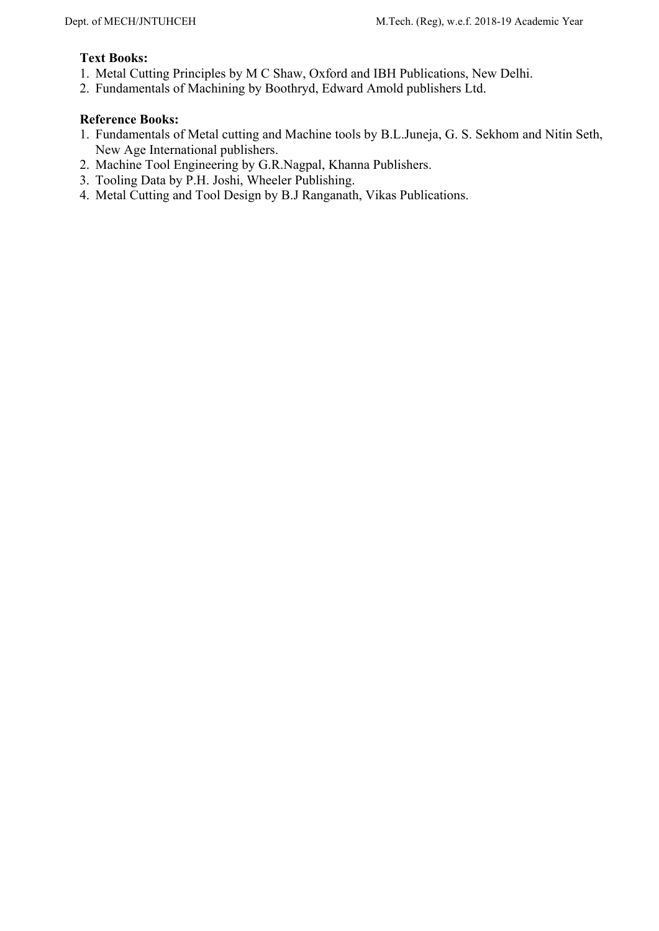# **Text Books:**

- 1. Metal Cutting Principles by M C Shaw, Oxford and IBH Publications, New Delhi.
- 2. Fundamentals of Machining by Boothryd, Edward Amold publishers Ltd.

- 1. Fundamentals of Metal cutting and Machine tools by B.L.Juneja, G. S. Sekhom and Nitin Seth, New Age International publishers.
- 2. Machine Tool Engineering by G.R.Nagpal, Khanna Publishers.
- 3. Tooling Data by P.H. Joshi, Wheeler Publishing.
- 4. Metal Cutting and Tool Design by B.J Ranganath, Vikas Publications.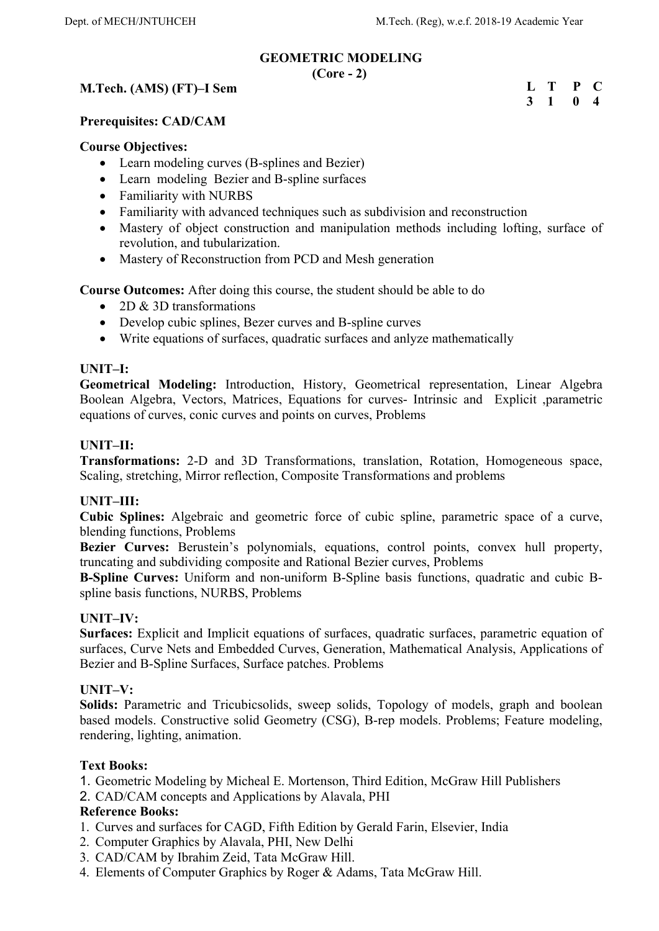# **GEOMETRIC MODELING**

**(Core - 2)** 

# **M.Tech. (AMS) (FT)–I Sem**

**L T P C 3 1 0 4** 

## **Prerequisites: CAD/CAM**

### **Course Objectives:**

- Learn modeling curves (B-splines and Bezier)
- Learn modeling Bezier and B-spline surfaces
- Familiarity with NURBS
- Familiarity with advanced techniques such as subdivision and reconstruction
- Mastery of object construction and manipulation methods including lofting, surface of revolution, and tubularization.
- Mastery of Reconstruction from PCD and Mesh generation

**Course Outcomes:** After doing this course, the student should be able to do

- 2D & 3D transformations
- Develop cubic splines, Bezer curves and B-spline curves
- Write equations of surfaces, quadratic surfaces and anlyze mathematically

## **UNIT–I:**

**Geometrical Modeling:** Introduction, History, Geometrical representation, Linear Algebra Boolean Algebra, Vectors, Matrices, Equations for curves- Intrinsic and Explicit ,parametric equations of curves, conic curves and points on curves, Problems

## **UNIT–II:**

**Transformations:** 2-D and 3D Transformations, translation, Rotation, Homogeneous space, Scaling, stretching, Mirror reflection, Composite Transformations and problems

## **UNIT–III:**

**Cubic Splines:** Algebraic and geometric force of cubic spline, parametric space of a curve, blending functions, Problems

**Bezier Curves:** Berustein's polynomials, equations, control points, convex hull property, truncating and subdividing composite and Rational Bezier curves, Problems

**B-Spline Curves:** Uniform and non-uniform B-Spline basis functions, quadratic and cubic Bspline basis functions, NURBS, Problems

## **UNIT–IV:**

**Surfaces:** Explicit and Implicit equations of surfaces, quadratic surfaces, parametric equation of surfaces, Curve Nets and Embedded Curves, Generation, Mathematical Analysis, Applications of Bezier and B-Spline Surfaces, Surface patches. Problems

## **UNIT–V:**

Solids: Parametric and Tricubicsolids, sweep solids, Topology of models, graph and boolean based models. Constructive solid Geometry (CSG), B-rep models. Problems; Feature modeling, rendering, lighting, animation.

## **Text Books:**

1. Geometric Modeling by Micheal E. Mortenson, Third Edition, McGraw Hill Publishers

2. CAD/CAM concepts and Applications by Alavala, PHI

- 1. Curves and surfaces for CAGD, Fifth Edition by Gerald Farin, Elsevier, India
- 2. Computer Graphics by Alavala, PHI, New Delhi
- 3. CAD/CAM by Ibrahim Zeid, Tata McGraw Hill.
- 4. Elements of Computer Graphics by Roger & Adams, Tata McGraw Hill.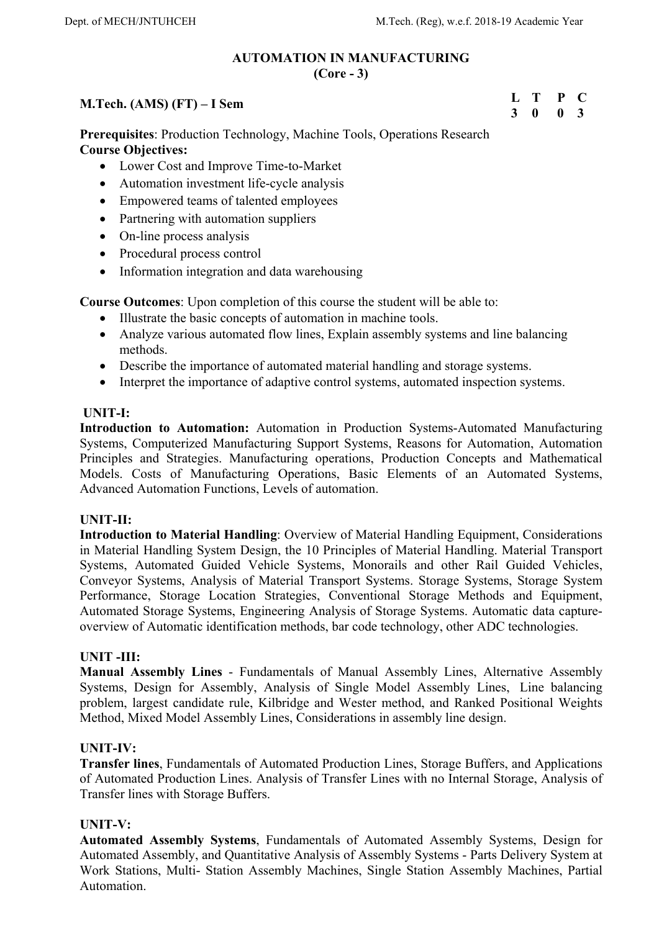### **AUTOMATION IN MANUFACTURING (Core - 3)**

## **M.Tech. (AMS) (FT) – I Sem**

**Prerequisites**: Production Technology, Machine Tools, Operations Research **Course Objectives:** 

- Lower Cost and Improve Time-to-Market
- Automation investment life-cycle analysis
- Empowered teams of talented employees
- Partnering with automation suppliers
- On-line process analysis
- Procedural process control
- Information integration and data warehousing

**Course Outcomes**: Upon completion of this course the student will be able to:

- Illustrate the basic concepts of automation in machine tools.
- Analyze various automated flow lines, Explain assembly systems and line balancing methods.
- Describe the importance of automated material handling and storage systems.
- Interpret the importance of adaptive control systems, automated inspection systems.

## **UNIT-I:**

**Introduction to Automation:** Automation in Production Systems-Automated Manufacturing Systems, Computerized Manufacturing Support Systems, Reasons for Automation, Automation Principles and Strategies. Manufacturing operations, Production Concepts and Mathematical Models. Costs of Manufacturing Operations, Basic Elements of an Automated Systems, Advanced Automation Functions, Levels of automation.

## **UNIT-II:**

**Introduction to Material Handling**: Overview of Material Handling Equipment, Considerations in Material Handling System Design, the 10 Principles of Material Handling. Material Transport Systems, Automated Guided Vehicle Systems, Monorails and other Rail Guided Vehicles, Conveyor Systems, Analysis of Material Transport Systems. Storage Systems, Storage System Performance, Storage Location Strategies, Conventional Storage Methods and Equipment, Automated Storage Systems, Engineering Analysis of Storage Systems. Automatic data captureoverview of Automatic identification methods, bar code technology, other ADC technologies.

## **UNIT -III:**

**Manual Assembly Lines** - Fundamentals of Manual Assembly Lines, Alternative Assembly Systems, Design for Assembly, Analysis of Single Model Assembly Lines, Line balancing problem, largest candidate rule, Kilbridge and Wester method, and Ranked Positional Weights Method, Mixed Model Assembly Lines, Considerations in assembly line design.

## **UNIT-IV:**

**Transfer lines**, Fundamentals of Automated Production Lines, Storage Buffers, and Applications of Automated Production Lines. Analysis of Transfer Lines with no Internal Storage, Analysis of Transfer lines with Storage Buffers.

## **UNIT-V:**

**Automated Assembly Systems**, Fundamentals of Automated Assembly Systems, Design for Automated Assembly, and Quantitative Analysis of Assembly Systems - Parts Delivery System at Work Stations, Multi- Station Assembly Machines, Single Station Assembly Machines, Partial Automation.

**L T P C 3 0 0 3**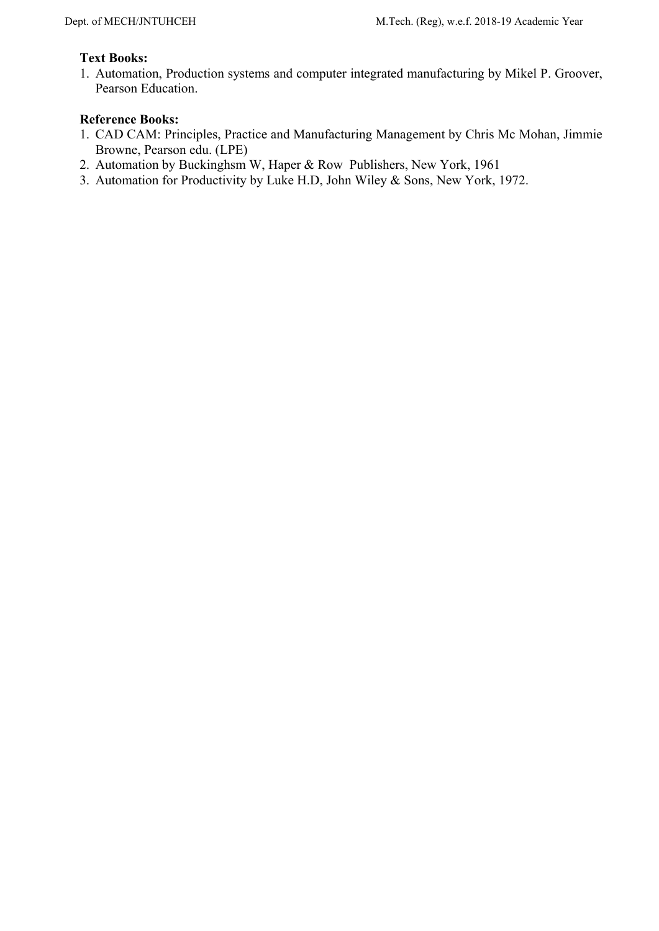# **Text Books:**

1. Automation, Production systems and computer integrated manufacturing by Mikel P. Groover, Pearson Education.

- 1. CAD CAM: Principles, Practice and Manufacturing Management by Chris Mc Mohan, Jimmie Browne, Pearson edu. (LPE)
- 2. Automation by Buckinghsm W, Haper & Row Publishers, New York, 1961
- 3. Automation for Productivity by Luke H.D, John Wiley & Sons, New York, 1972.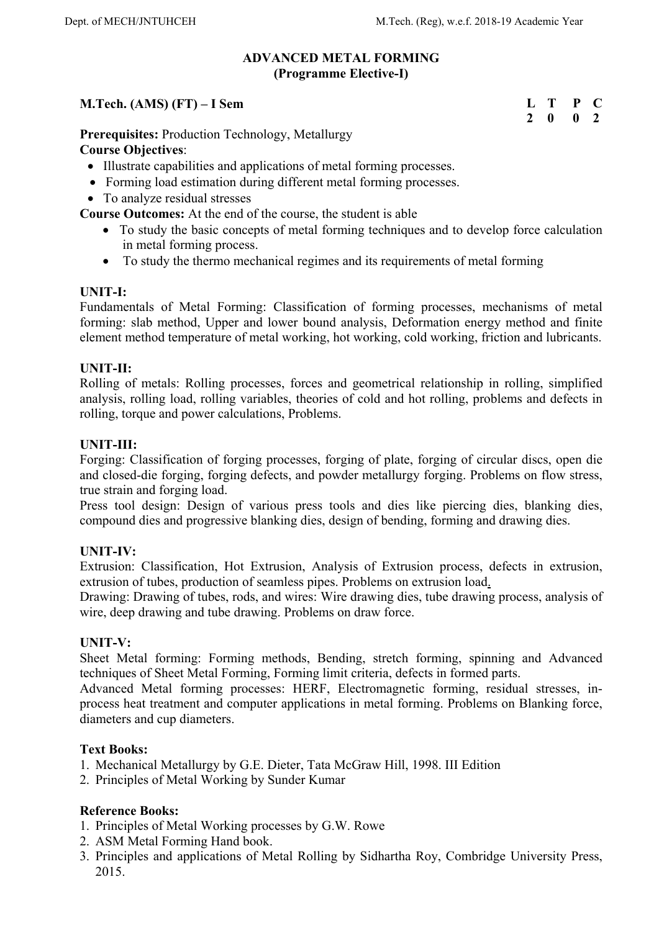### **ADVANCED METAL FORMING (Programme Elective-I)**

# **M.Tech. (AMS) (FT) – I Sem**

**Prerequisites:** Production Technology, Metallurgy **Course Objectives**:

- Illustrate capabilities and applications of metal forming processes.
- Forming load estimation during different metal forming processes.
- To analyze residual stresses

**Course Outcomes:** At the end of the course, the student is able

- To study the basic concepts of metal forming techniques and to develop force calculation in metal forming process.
- To study the thermo mechanical regimes and its requirements of metal forming

## **UNIT-I:**

Fundamentals of Metal Forming: Classification of forming processes, mechanisms of metal forming: slab method, Upper and lower bound analysis, Deformation energy method and finite element method temperature of metal working, hot working, cold working, friction and lubricants.

## **UNIT-II:**

Rolling of metals: Rolling processes, forces and geometrical relationship in rolling, simplified analysis, rolling load, rolling variables, theories of cold and hot rolling, problems and defects in rolling, torque and power calculations, Problems.

## **UNIT-III:**

Forging: Classification of forging processes, forging of plate, forging of circular discs, open die and closed-die forging, forging defects, and powder metallurgy forging. Problems on flow stress, true strain and forging load.

Press tool design: Design of various press tools and dies like piercing dies, blanking dies, compound dies and progressive blanking dies, design of bending, forming and drawing dies.

## **UNIT-IV:**

Extrusion: Classification, Hot Extrusion, Analysis of Extrusion process, defects in extrusion, extrusion of tubes, production of seamless pipes. Problems on extrusion load.

Drawing: Drawing of tubes, rods, and wires: Wire drawing dies, tube drawing process, analysis of wire, deep drawing and tube drawing. Problems on draw force.

## **UNIT-V:**

Sheet Metal forming: Forming methods, Bending, stretch forming, spinning and Advanced techniques of Sheet Metal Forming, Forming limit criteria, defects in formed parts.

Advanced Metal forming processes: HERF, Electromagnetic forming, residual stresses, inprocess heat treatment and computer applications in metal forming. Problems on Blanking force, diameters and cup diameters.

## **Text Books:**

- 1. Mechanical Metallurgy by G.E. Dieter, Tata McGraw Hill, 1998. III Edition
- 2. Principles of Metal Working by Sunder Kumar

- 1. Principles of Metal Working processes by G.W. Rowe
- 2. ASM Metal Forming Hand book.
- 3. Principles and applications of Metal Rolling by Sidhartha Roy, Combridge University Press, 2015.

| Т.           | т | P | C            |
|--------------|---|---|--------------|
| <sup>2</sup> | 0 | 0 | <sup>2</sup> |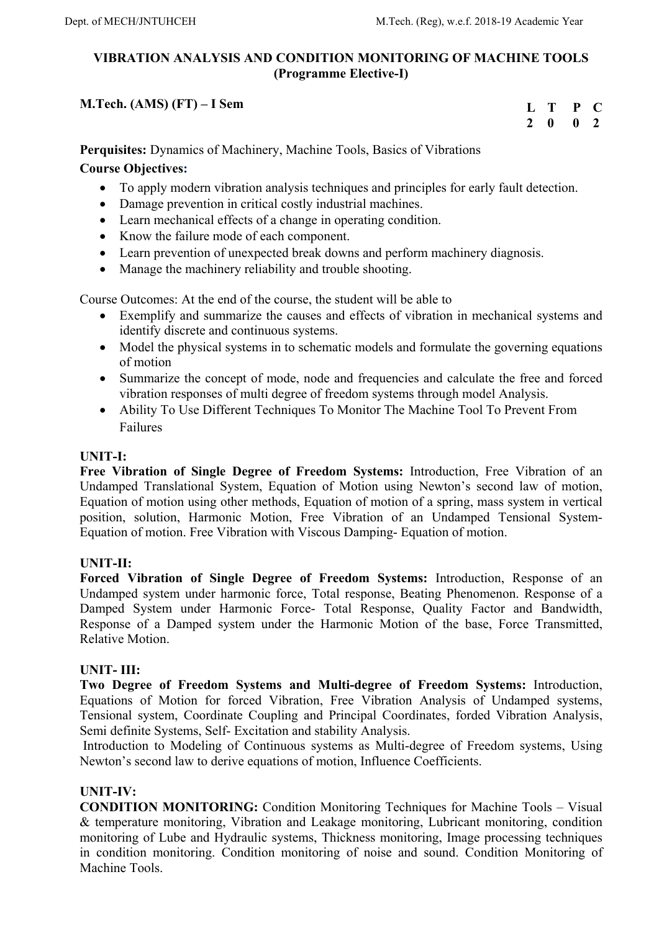# **VIBRATION ANALYSIS AND CONDITION MONITORING OF MACHINE TOOLS (Programme Elective-I)**

# **M.Tech. (AMS) (FT) – I Sem**

**L T P C 2 0 0 2** 

**Perquisites:** Dynamics of Machinery, Machine Tools, Basics of Vibrations **Course Objectives:** 

# To apply modern vibration analysis techniques and principles for early fault detection.

- Damage prevention in critical costly industrial machines.
- Learn mechanical effects of a change in operating condition.
- Know the failure mode of each component.
- Learn prevention of unexpected break downs and perform machinery diagnosis.
- Manage the machinery reliability and trouble shooting.

Course Outcomes: At the end of the course, the student will be able to

- Exemplify and summarize the causes and effects of vibration in mechanical systems and identify discrete and continuous systems.
- Model the physical systems in to schematic models and formulate the governing equations of motion
- Summarize the concept of mode, node and frequencies and calculate the free and forced vibration responses of multi degree of freedom systems through model Analysis.
- Ability To Use Different Techniques To Monitor The Machine Tool To Prevent From Failures

## **UNIT-I:**

**Free Vibration of Single Degree of Freedom Systems:** Introduction, Free Vibration of an Undamped Translational System, Equation of Motion using Newton's second law of motion, Equation of motion using other methods, Equation of motion of a spring, mass system in vertical position, solution, Harmonic Motion, Free Vibration of an Undamped Tensional System-Equation of motion. Free Vibration with Viscous Damping- Equation of motion.

# **UNIT-II:**

**Forced Vibration of Single Degree of Freedom Systems:** Introduction, Response of an Undamped system under harmonic force, Total response, Beating Phenomenon. Response of a Damped System under Harmonic Force- Total Response, Quality Factor and Bandwidth, Response of a Damped system under the Harmonic Motion of the base, Force Transmitted, Relative Motion.

## **UNIT- III:**

**Two Degree of Freedom Systems and Multi-degree of Freedom Systems:** Introduction, Equations of Motion for forced Vibration, Free Vibration Analysis of Undamped systems, Tensional system, Coordinate Coupling and Principal Coordinates, forded Vibration Analysis, Semi definite Systems, Self- Excitation and stability Analysis.

 Introduction to Modeling of Continuous systems as Multi-degree of Freedom systems, Using Newton's second law to derive equations of motion, Influence Coefficients.

# **UNIT-IV:**

**CONDITION MONITORING:** Condition Monitoring Techniques for Machine Tools – Visual & temperature monitoring, Vibration and Leakage monitoring, Lubricant monitoring, condition monitoring of Lube and Hydraulic systems, Thickness monitoring, Image processing techniques in condition monitoring. Condition monitoring of noise and sound. Condition Monitoring of Machine Tools.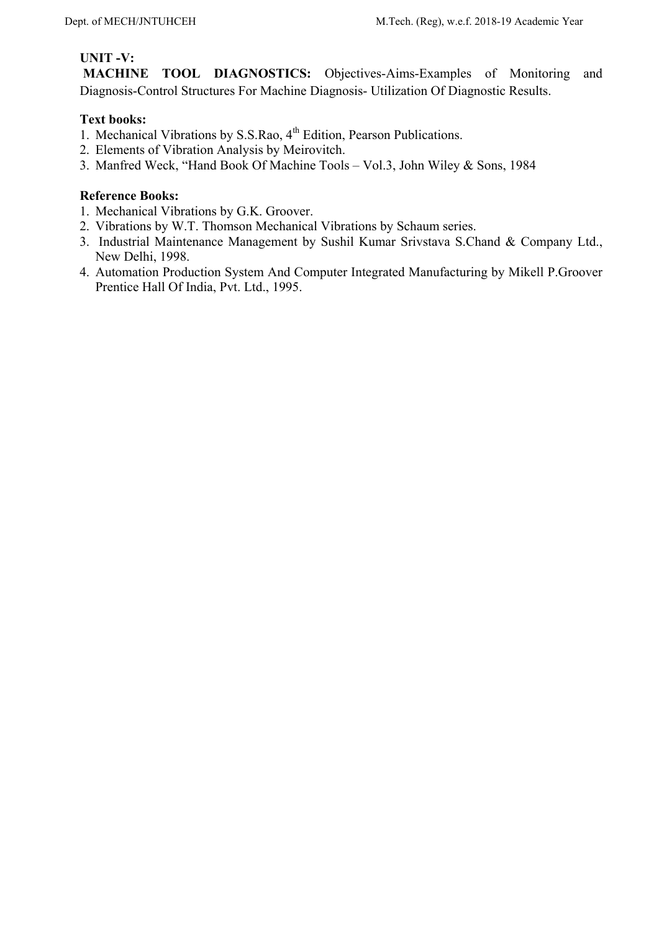# **UNIT -V:**

 **MACHINE TOOL DIAGNOSTICS:** Objectives-Aims-Examples of Monitoring and Diagnosis-Control Structures For Machine Diagnosis- Utilization Of Diagnostic Results.

# **Text books:**

- 1. Mechanical Vibrations by S.S.Rao, 4<sup>th</sup> Edition, Pearson Publications.
- 2. Elements of Vibration Analysis by Meirovitch.
- 3. Manfred Weck, "Hand Book Of Machine Tools Vol.3, John Wiley & Sons, 1984

- 1. Mechanical Vibrations by G.K. Groover.
- 2. Vibrations by W.T. Thomson Mechanical Vibrations by Schaum series.
- 3. Industrial Maintenance Management by Sushil Kumar Srivstava S.Chand & Company Ltd., New Delhi, 1998.
- 4. Automation Production System And Computer Integrated Manufacturing by Mikell P.Groover Prentice Hall Of India, Pvt. Ltd., 1995.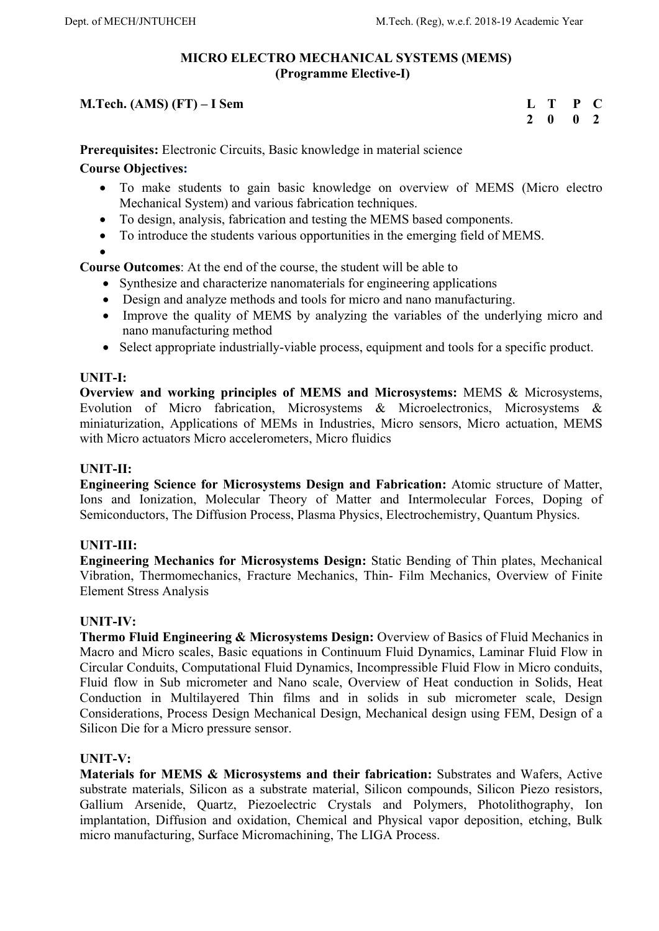# **MICRO ELECTRO MECHANICAL SYSTEMS (MEMS) (Programme Elective-I)**

# **M.Tech. (AMS) (FT) – I Sem**

| L            | т | P | $\sqrt{2}$    |
|--------------|---|---|---------------|
| $\mathcal I$ | 0 | 0 | $\mathcal{L}$ |

**Prerequisites:** Electronic Circuits, Basic knowledge in material science

# **Course Objectives:**

- To make students to gain basic knowledge on overview of MEMS (Micro electro Mechanical System) and various fabrication techniques.
- To design, analysis, fabrication and testing the MEMS based components.
- To introduce the students various opportunities in the emerging field of MEMS.
- $\bullet$

**Course Outcomes**: At the end of the course, the student will be able to

- Synthesize and characterize nanomaterials for engineering applications
- Design and analyze methods and tools for micro and nano manufacturing.
- Improve the quality of MEMS by analyzing the variables of the underlying micro and nano manufacturing method
- Select appropriate industrially-viable process, equipment and tools for a specific product.

## **UNIT-I:**

**Overview and working principles of MEMS and Microsystems:** MEMS & Microsystems, Evolution of Micro fabrication, Microsystems & Microelectronics, Microsystems & miniaturization, Applications of MEMs in Industries, Micro sensors, Micro actuation, MEMS with Micro actuators Micro accelerometers, Micro fluidics

# **UNIT-II:**

**Engineering Science for Microsystems Design and Fabrication:** Atomic structure of Matter, Ions and Ionization, Molecular Theory of Matter and Intermolecular Forces, Doping of Semiconductors, The Diffusion Process, Plasma Physics, Electrochemistry, Quantum Physics.

## **UNIT-III:**

**Engineering Mechanics for Microsystems Design:** Static Bending of Thin plates, Mechanical Vibration, Thermomechanics, Fracture Mechanics, Thin- Film Mechanics, Overview of Finite Element Stress Analysis

## **UNIT-IV:**

**Thermo Fluid Engineering & Microsystems Design:** Overview of Basics of Fluid Mechanics in Macro and Micro scales, Basic equations in Continuum Fluid Dynamics, Laminar Fluid Flow in Circular Conduits, Computational Fluid Dynamics, Incompressible Fluid Flow in Micro conduits, Fluid flow in Sub micrometer and Nano scale, Overview of Heat conduction in Solids, Heat Conduction in Multilayered Thin films and in solids in sub micrometer scale, Design Considerations, Process Design Mechanical Design, Mechanical design using FEM, Design of a Silicon Die for a Micro pressure sensor.

## **UNIT-V:**

**Materials for MEMS & Microsystems and their fabrication:** Substrates and Wafers, Active substrate materials, Silicon as a substrate material, Silicon compounds, Silicon Piezo resistors, Gallium Arsenide, Quartz, Piezoelectric Crystals and Polymers, Photolithography, Ion implantation, Diffusion and oxidation, Chemical and Physical vapor deposition, etching, Bulk micro manufacturing, Surface Micromachining, The LIGA Process.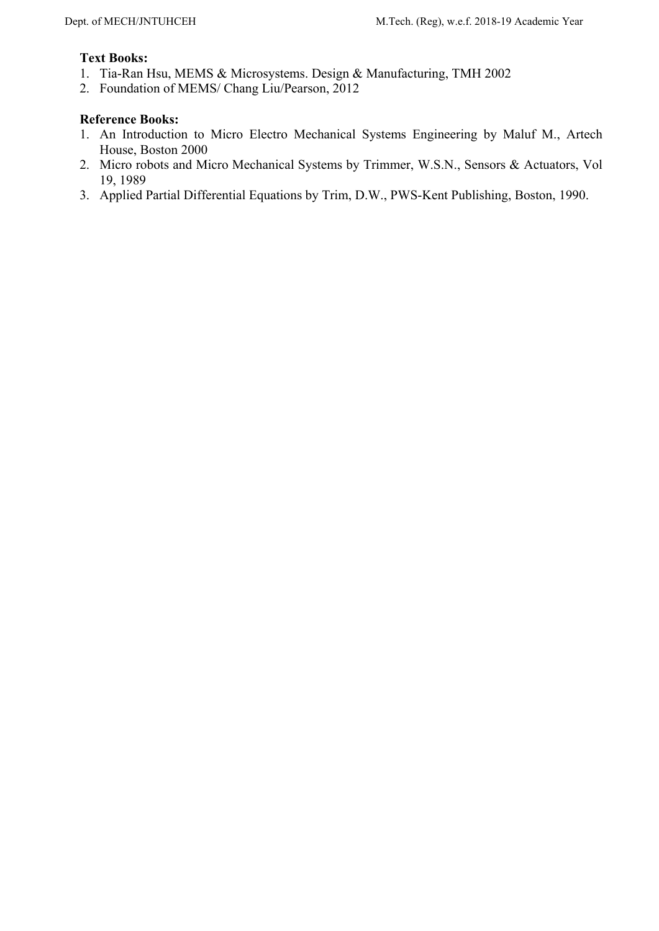## **Text Books:**

- 1. Tia-Ran Hsu, MEMS & Microsystems. Design & Manufacturing, TMH 2002
- 2. Foundation of MEMS/ Chang Liu/Pearson, 2012

- 1. An Introduction to Micro Electro Mechanical Systems Engineering by Maluf M., Artech House, Boston 2000
- 2. Micro robots and Micro Mechanical Systems by Trimmer, W.S.N., Sensors & Actuators, Vol 19, 1989
- 3. Applied Partial Differential Equations by Trim, D.W., PWS-Kent Publishing, Boston, 1990.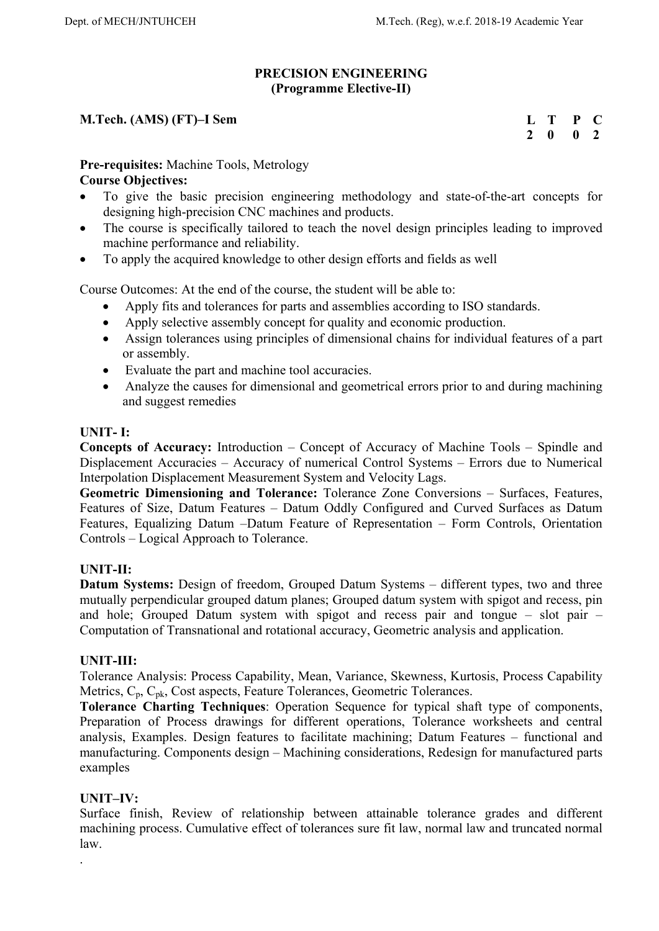## **PRECISION ENGINEERING (Programme Elective-II)**

# **M.Tech. (AMS) (FT)–I Sem**

**L T P C 2 0 0 2** 

# **Pre-requisites:** Machine Tools, Metrology

## **Course Objectives:**

- To give the basic precision engineering methodology and state-of-the-art concepts for designing high-precision CNC machines and products.
- The course is specifically tailored to teach the novel design principles leading to improved machine performance and reliability.
- To apply the acquired knowledge to other design efforts and fields as well

Course Outcomes: At the end of the course, the student will be able to:

- Apply fits and tolerances for parts and assemblies according to ISO standards.
- Apply selective assembly concept for quality and economic production.
- Assign tolerances using principles of dimensional chains for individual features of a part or assembly.
- Evaluate the part and machine tool accuracies.
- Analyze the causes for dimensional and geometrical errors prior to and during machining and suggest remedies

## **UNIT- I:**

**Concepts of Accuracy:** Introduction – Concept of Accuracy of Machine Tools – Spindle and Displacement Accuracies – Accuracy of numerical Control Systems – Errors due to Numerical Interpolation Displacement Measurement System and Velocity Lags.

**Geometric Dimensioning and Tolerance:** Tolerance Zone Conversions – Surfaces, Features, Features of Size, Datum Features – Datum Oddly Configured and Curved Surfaces as Datum Features, Equalizing Datum –Datum Feature of Representation – Form Controls, Orientation Controls – Logical Approach to Tolerance.

# **UNIT-II:**

**Datum Systems:** Design of freedom, Grouped Datum Systems – different types, two and three mutually perpendicular grouped datum planes; Grouped datum system with spigot and recess, pin and hole; Grouped Datum system with spigot and recess pair and tongue – slot pair – Computation of Transnational and rotational accuracy, Geometric analysis and application.

## **UNIT-III:**

Tolerance Analysis: Process Capability, Mean, Variance, Skewness, Kurtosis, Process Capability Metrics, C<sub>p</sub>, C<sub>pk</sub>, Cost aspects, Feature Tolerances, Geometric Tolerances.

**Tolerance Charting Techniques**: Operation Sequence for typical shaft type of components, Preparation of Process drawings for different operations, Tolerance worksheets and central analysis, Examples. Design features to facilitate machining; Datum Features – functional and manufacturing. Components design – Machining considerations, Redesign for manufactured parts examples

# **UNIT–IV:**

.

Surface finish, Review of relationship between attainable tolerance grades and different machining process. Cumulative effect of tolerances sure fit law, normal law and truncated normal law.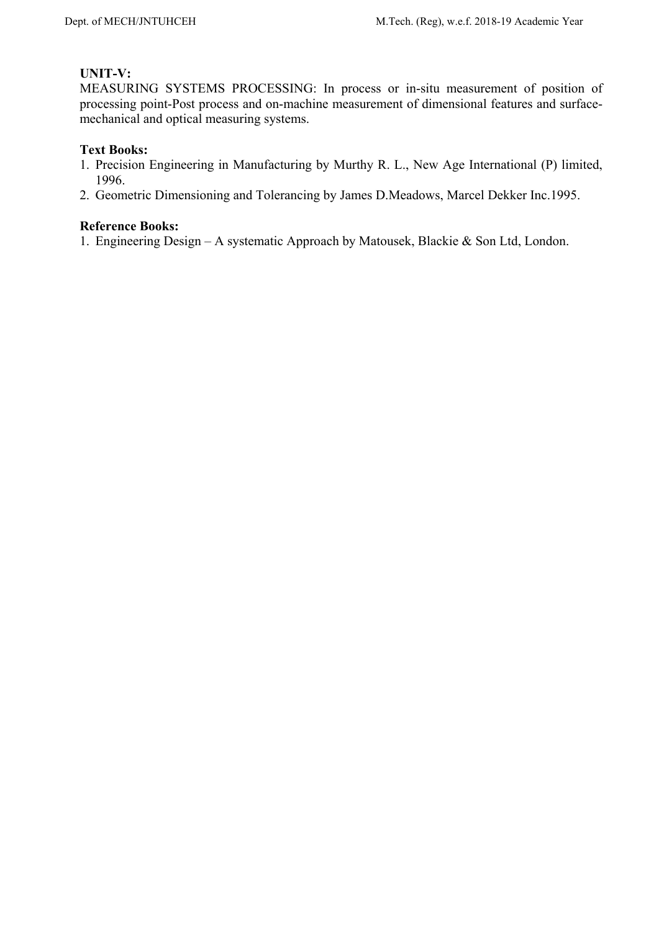# **UNIT-V:**

MEASURING SYSTEMS PROCESSING: In process or in-situ measurement of position of processing point-Post process and on-machine measurement of dimensional features and surfacemechanical and optical measuring systems.

## **Text Books:**

- 1. Precision Engineering in Manufacturing by Murthy R. L., New Age International (P) limited, 1996.
- 2. Geometric Dimensioning and Tolerancing by James D.Meadows, Marcel Dekker Inc.1995.

## **Reference Books:**

1. Engineering Design – A systematic Approach by Matousek, Blackie & Son Ltd, London.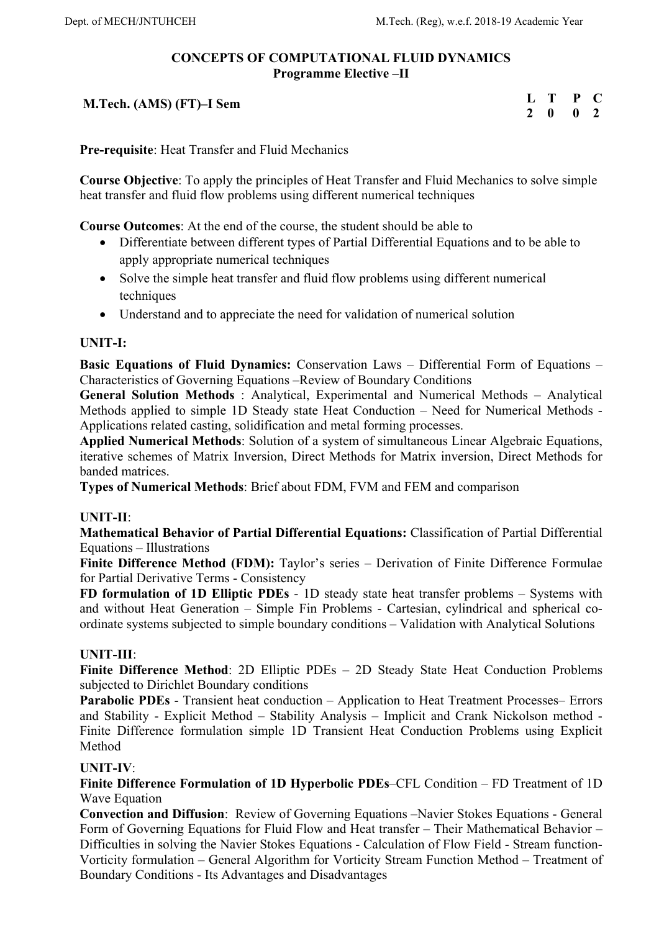# **CONCEPTS OF COMPUTATIONAL FLUID DYNAMICS Programme Elective –II**

 **M.Tech. (AMS) (FT)–I Sem** 

| Ι.            | T | P | C            |
|---------------|---|---|--------------|
| $\mathcal{L}$ | 0 | 0 | $\mathbf{v}$ |

**Pre-requisite**: Heat Transfer and Fluid Mechanics

**Course Objective**: To apply the principles of Heat Transfer and Fluid Mechanics to solve simple heat transfer and fluid flow problems using different numerical techniques

**Course Outcomes**: At the end of the course, the student should be able to

- Differentiate between different types of Partial Differential Equations and to be able to apply appropriate numerical techniques
- Solve the simple heat transfer and fluid flow problems using different numerical techniques
- Understand and to appreciate the need for validation of numerical solution

# **UNIT-I:**

**Basic Equations of Fluid Dynamics:** Conservation Laws – Differential Form of Equations – Characteristics of Governing Equations –Review of Boundary Conditions

**General Solution Methods** : Analytical, Experimental and Numerical Methods – Analytical Methods applied to simple 1D Steady state Heat Conduction – Need for Numerical Methods - Applications related casting, solidification and metal forming processes.

**Applied Numerical Methods**: Solution of a system of simultaneous Linear Algebraic Equations, iterative schemes of Matrix Inversion, Direct Methods for Matrix inversion, Direct Methods for banded matrices.

**Types of Numerical Methods**: Brief about FDM, FVM and FEM and comparison

## **UNIT-II**:

**Mathematical Behavior of Partial Differential Equations:** Classification of Partial Differential Equations – Illustrations

**Finite Difference Method (FDM):** Taylor's series – Derivation of Finite Difference Formulae for Partial Derivative Terms - Consistency

**FD formulation of 1D Elliptic PDEs** - 1D steady state heat transfer problems – Systems with and without Heat Generation – Simple Fin Problems - Cartesian, cylindrical and spherical coordinate systems subjected to simple boundary conditions – Validation with Analytical Solutions

# **UNIT-III**:

**Finite Difference Method**: 2D Elliptic PDEs – 2D Steady State Heat Conduction Problems subjected to Dirichlet Boundary conditions

**Parabolic PDEs** - Transient heat conduction – Application to Heat Treatment Processes– Errors and Stability - Explicit Method – Stability Analysis – Implicit and Crank Nickolson method - Finite Difference formulation simple 1D Transient Heat Conduction Problems using Explicit Method

## **UNIT-IV**:

**Finite Difference Formulation of 1D Hyperbolic PDEs**–CFL Condition – FD Treatment of 1D Wave Equation

**Convection and Diffusion**: Review of Governing Equations –Navier Stokes Equations - General Form of Governing Equations for Fluid Flow and Heat transfer – Their Mathematical Behavior – Difficulties in solving the Navier Stokes Equations - Calculation of Flow Field - Stream function-Vorticity formulation – General Algorithm for Vorticity Stream Function Method – Treatment of Boundary Conditions - Its Advantages and Disadvantages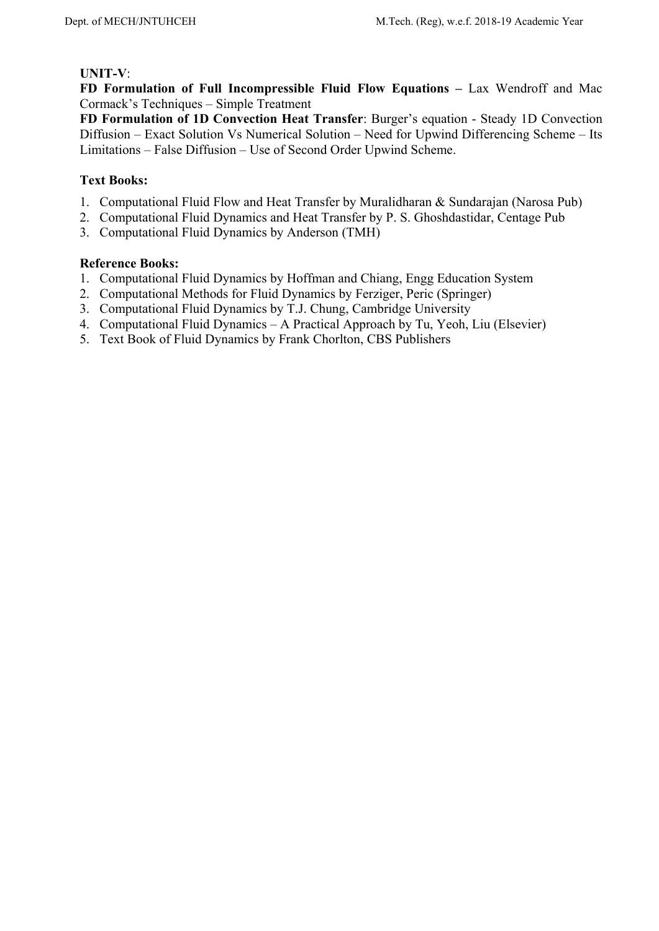# **UNIT-V**:

**FD Formulation of Full Incompressible Fluid Flow Equations –** Lax Wendroff and Mac Cormack's Techniques – Simple Treatment

**FD Formulation of 1D Convection Heat Transfer**: Burger's equation - Steady 1D Convection Diffusion – Exact Solution Vs Numerical Solution – Need for Upwind Differencing Scheme – Its Limitations – False Diffusion – Use of Second Order Upwind Scheme.

# **Text Books:**

- 1. Computational Fluid Flow and Heat Transfer by Muralidharan & Sundarajan (Narosa Pub)
- 2. Computational Fluid Dynamics and Heat Transfer by P. S. Ghoshdastidar, Centage Pub
- 3. Computational Fluid Dynamics by Anderson (TMH)

- 1. Computational Fluid Dynamics by Hoffman and Chiang, Engg Education System
- 2. Computational Methods for Fluid Dynamics by Ferziger, Peric (Springer)
- 3. Computational Fluid Dynamics by T.J. Chung, Cambridge University
- 4. Computational Fluid Dynamics A Practical Approach by Tu, Yeoh, Liu (Elsevier)
- 5. Text Book of Fluid Dynamics by Frank Chorlton, CBS Publishers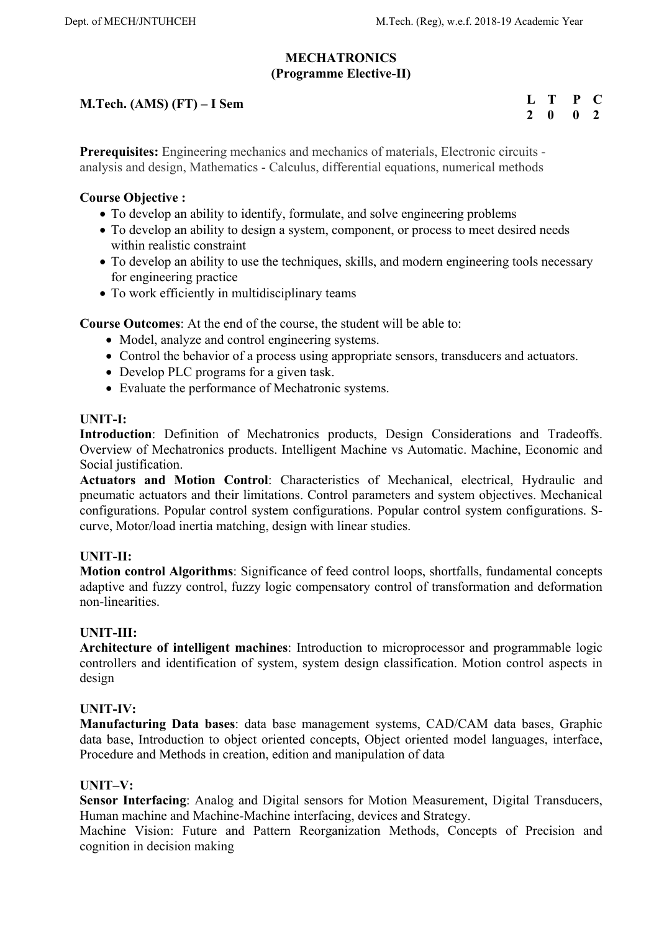## **MECHATRONICS (Programme Elective-II)**

# **M.Tech. (AMS) (FT) – I Sem**

**L T P C 2 0 0 2** 

**Prerequisites:** Engineering mechanics and mechanics of materials, Electronic circuits analysis and design, Mathematics - Calculus, differential equations, numerical methods

## **Course Objective :**

- To develop an ability to identify, formulate, and solve engineering problems
- To develop an ability to design a system, component, or process to meet desired needs within realistic constraint
- To develop an ability to use the techniques, skills, and modern engineering tools necessary for engineering practice
- To work efficiently in multidisciplinary teams

**Course Outcomes**: At the end of the course, the student will be able to:

- Model, analyze and control engineering systems.
- Control the behavior of a process using appropriate sensors, transducers and actuators.
- Develop PLC programs for a given task.
- Evaluate the performance of Mechatronic systems.

#### **UNIT-I:**

**Introduction**: Definition of Mechatronics products, Design Considerations and Tradeoffs. Overview of Mechatronics products. Intelligent Machine vs Automatic. Machine, Economic and Social justification.

**Actuators and Motion Control**: Characteristics of Mechanical, electrical, Hydraulic and pneumatic actuators and their limitations. Control parameters and system objectives. Mechanical configurations. Popular control system configurations. Popular control system configurations. Scurve, Motor/load inertia matching, design with linear studies.

## **UNIT-II:**

**Motion control Algorithms**: Significance of feed control loops, shortfalls, fundamental concepts adaptive and fuzzy control, fuzzy logic compensatory control of transformation and deformation non-linearities.

#### **UNIT-III:**

**Architecture of intelligent machines**: Introduction to microprocessor and programmable logic controllers and identification of system, system design classification. Motion control aspects in design

#### **UNIT-IV:**

**Manufacturing Data bases**: data base management systems, CAD/CAM data bases, Graphic data base, Introduction to object oriented concepts, Object oriented model languages, interface, Procedure and Methods in creation, edition and manipulation of data

#### **UNIT–V:**

**Sensor Interfacing**: Analog and Digital sensors for Motion Measurement, Digital Transducers, Human machine and Machine-Machine interfacing, devices and Strategy.

Machine Vision: Future and Pattern Reorganization Methods, Concepts of Precision and cognition in decision making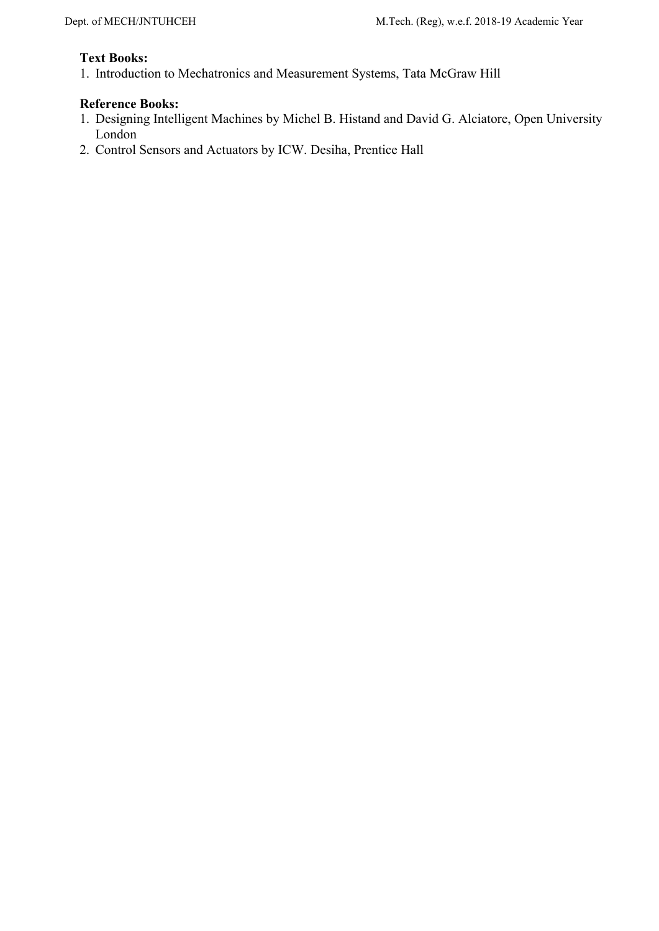# **Text Books:**

1. Introduction to Mechatronics and Measurement Systems, Tata McGraw Hill

- 1. Designing Intelligent Machines by Michel B. Histand and David G. Alciatore, Open University London
- 2. Control Sensors and Actuators by ICW. Desiha, Prentice Hall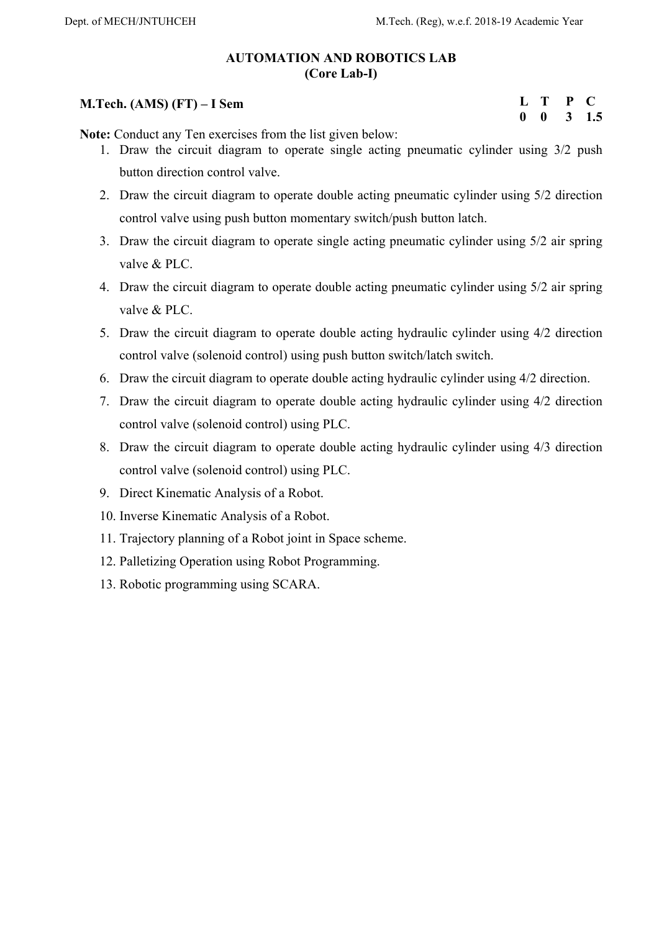# **AUTOMATION AND ROBOTICS LAB (Core Lab-I)**

# **M.Tech. (AMS) (FT) – I Sem**

## **L T P C 0 0 3 1.5**

**Note:** Conduct any Ten exercises from the list given below:

- 1. Draw the circuit diagram to operate single acting pneumatic cylinder using 3/2 push button direction control valve.
- 2. Draw the circuit diagram to operate double acting pneumatic cylinder using 5/2 direction control valve using push button momentary switch/push button latch.
- 3. Draw the circuit diagram to operate single acting pneumatic cylinder using 5/2 air spring valve & PLC.
- 4. Draw the circuit diagram to operate double acting pneumatic cylinder using 5/2 air spring valve & PLC.
- 5. Draw the circuit diagram to operate double acting hydraulic cylinder using 4/2 direction control valve (solenoid control) using push button switch/latch switch.
- 6. Draw the circuit diagram to operate double acting hydraulic cylinder using 4/2 direction.
- 7. Draw the circuit diagram to operate double acting hydraulic cylinder using 4/2 direction control valve (solenoid control) using PLC.
- 8. Draw the circuit diagram to operate double acting hydraulic cylinder using 4/3 direction control valve (solenoid control) using PLC.
- 9. Direct Kinematic Analysis of a Robot.
- 10. Inverse Kinematic Analysis of a Robot.
- 11. Trajectory planning of a Robot joint in Space scheme.
- 12. Palletizing Operation using Robot Programming.
- 13. Robotic programming using SCARA.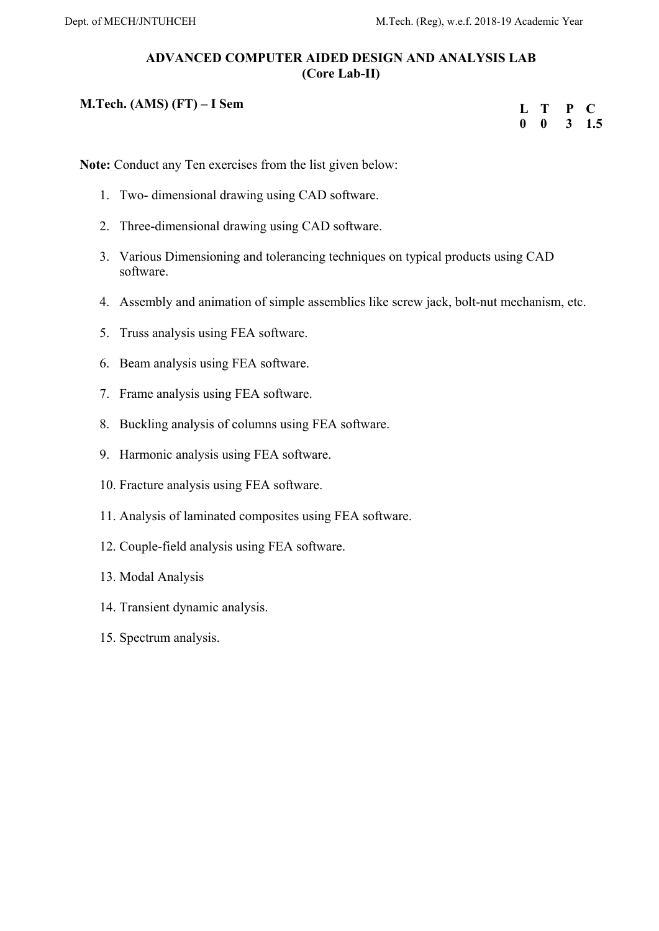# **ADVANCED COMPUTER AIDED DESIGN AND ANALYSIS LAB (Core Lab-II)**

# **M.Tech. (AMS) (FT) – I Sem**

| L |   | P | $\blacksquare$ |
|---|---|---|----------------|
| 0 | 0 | 3 | $1.5\,$        |

**Note:** Conduct any Ten exercises from the list given below:

- 1. Two- dimensional drawing using CAD software.
- 2. Three-dimensional drawing using CAD software.
- 3. Various Dimensioning and tolerancing techniques on typical products using CAD software.
- 4. Assembly and animation of simple assemblies like screw jack, bolt-nut mechanism, etc.
- 5. Truss analysis using FEA software.
- 6. Beam analysis using FEA software.
- 7. Frame analysis using FEA software.
- 8. Buckling analysis of columns using FEA software.
- 9. Harmonic analysis using FEA software.
- 10. Fracture analysis using FEA software.
- 11. Analysis of laminated composites using FEA software.
- 12. Couple-field analysis using FEA software.
- 13. Modal Analysis
- 14. Transient dynamic analysis.
- 15. Spectrum analysis.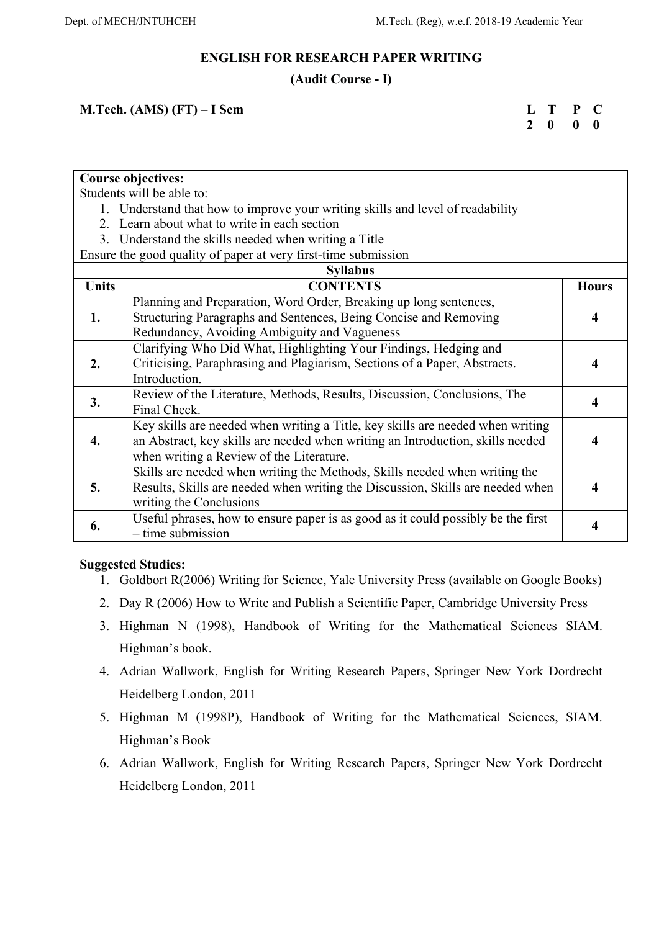### **ENGLISH FOR RESEARCH PAPER WRITING**

## **(Audit Course - I)**

## **M.Tech. (AMS) (FT) – I Sem**

**L T P C 2 0 0 0** 

**Course objectives:**

Students will be able to:

- 1. Understand that how to improve your writing skills and level of readability
- 2. Learn about what to write in each section
- 3. Understand the skills needed when writing a Title

Ensure the good quality of paper at very first-time submission

| <b>Syllabus</b> |                                                                                  |              |  |  |
|-----------------|----------------------------------------------------------------------------------|--------------|--|--|
| <b>Units</b>    | <b>CONTENTS</b>                                                                  | <b>Hours</b> |  |  |
|                 | Planning and Preparation, Word Order, Breaking up long sentences,                |              |  |  |
| 1.              | Structuring Paragraphs and Sentences, Being Concise and Removing                 | 4            |  |  |
|                 | Redundancy, Avoiding Ambiguity and Vagueness                                     |              |  |  |
|                 | Clarifying Who Did What, Highlighting Your Findings, Hedging and                 |              |  |  |
| 2.              | Criticising, Paraphrasing and Plagiarism, Sections of a Paper, Abstracts.        | 4            |  |  |
|                 | Introduction.                                                                    |              |  |  |
| 3.              | Review of the Literature, Methods, Results, Discussion, Conclusions, The         |              |  |  |
|                 | Final Check.                                                                     |              |  |  |
|                 | Key skills are needed when writing a Title, key skills are needed when writing   |              |  |  |
| 4.              | an Abstract, key skills are needed when writing an Introduction, skills needed   |              |  |  |
|                 | when writing a Review of the Literature,                                         |              |  |  |
|                 | Skills are needed when writing the Methods, Skills needed when writing the       |              |  |  |
| 5.              | Results, Skills are needed when writing the Discussion, Skills are needed when   | 4            |  |  |
|                 | writing the Conclusions                                                          |              |  |  |
| 6.              | Useful phrases, how to ensure paper is as good as it could possibly be the first | 4            |  |  |
|                 | $-$ time submission                                                              |              |  |  |

## **Suggested Studies:**

- 1. Goldbort R(2006) Writing for Science, Yale University Press (available on Google Books)
- 2. Day R (2006) How to Write and Publish a Scientific Paper, Cambridge University Press
- 3. Highman N (1998), Handbook of Writing for the Mathematical Sciences SIAM. Highman's book.
- 4. Adrian Wallwork, English for Writing Research Papers, Springer New York Dordrecht Heidelberg London, 2011
- 5. Highman M (1998P), Handbook of Writing for the Mathematical Seiences, SIAM. Highman's Book
- 6. Adrian Wallwork, English for Writing Research Papers, Springer New York Dordrecht Heidelberg London, 2011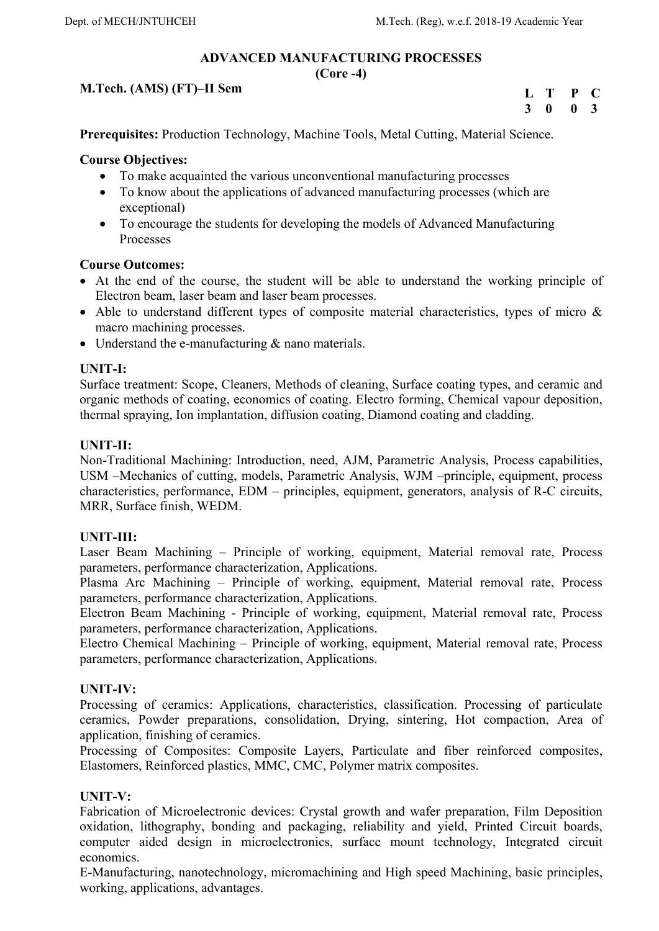# **ADVANCED MANUFACTURING PROCESSES**

**(Core -4)** 

## **M.Tech. (AMS) (FT)–II Sem**

| L | T. | P            | L.           |
|---|----|--------------|--------------|
| 3 | 0  | $\mathbf{0}$ | $\mathbf{3}$ |

**Prerequisites:** Production Technology, Machine Tools, Metal Cutting, Material Science.

## **Course Objectives:**

- To make acquainted the various unconventional manufacturing processes
- To know about the applications of advanced manufacturing processes (which are exceptional)
- To encourage the students for developing the models of Advanced Manufacturing Processes

## **Course Outcomes:**

- At the end of the course, the student will be able to understand the working principle of Electron beam, laser beam and laser beam processes.
- Able to understand different types of composite material characteristics, types of micro & macro machining processes.
- Understand the e-manufacturing & nano materials.

# **UNIT-I:**

Surface treatment: Scope, Cleaners, Methods of cleaning, Surface coating types, and ceramic and organic methods of coating, economics of coating. Electro forming, Chemical vapour deposition, thermal spraying, Ion implantation, diffusion coating, Diamond coating and cladding.

## **UNIT-II:**

Non-Traditional Machining: Introduction, need, AJM, Parametric Analysis, Process capabilities, USM –Mechanics of cutting, models, Parametric Analysis, WJM –principle, equipment, process characteristics, performance, EDM – principles, equipment, generators, analysis of R-C circuits, MRR, Surface finish, WEDM.

# **UNIT-III:**

Laser Beam Machining – Principle of working, equipment, Material removal rate, Process parameters, performance characterization, Applications.

Plasma Arc Machining – Principle of working, equipment, Material removal rate, Process parameters, performance characterization, Applications.

Electron Beam Machining - Principle of working, equipment, Material removal rate, Process parameters, performance characterization, Applications.

Electro Chemical Machining – Principle of working, equipment, Material removal rate, Process parameters, performance characterization, Applications.

## **UNIT-IV:**

Processing of ceramics: Applications, characteristics, classification. Processing of particulate ceramics, Powder preparations, consolidation, Drying, sintering, Hot compaction, Area of application, finishing of ceramics.

Processing of Composites: Composite Layers, Particulate and fiber reinforced composites, Elastomers, Reinforced plastics, MMC, CMC, Polymer matrix composites.

## **UNIT-V:**

Fabrication of Microelectronic devices: Crystal growth and wafer preparation, Film Deposition oxidation, lithography, bonding and packaging, reliability and yield, Printed Circuit boards, computer aided design in microelectronics, surface mount technology, Integrated circuit economics.

E-Manufacturing, nanotechnology, micromachining and High speed Machining, basic principles, working, applications, advantages.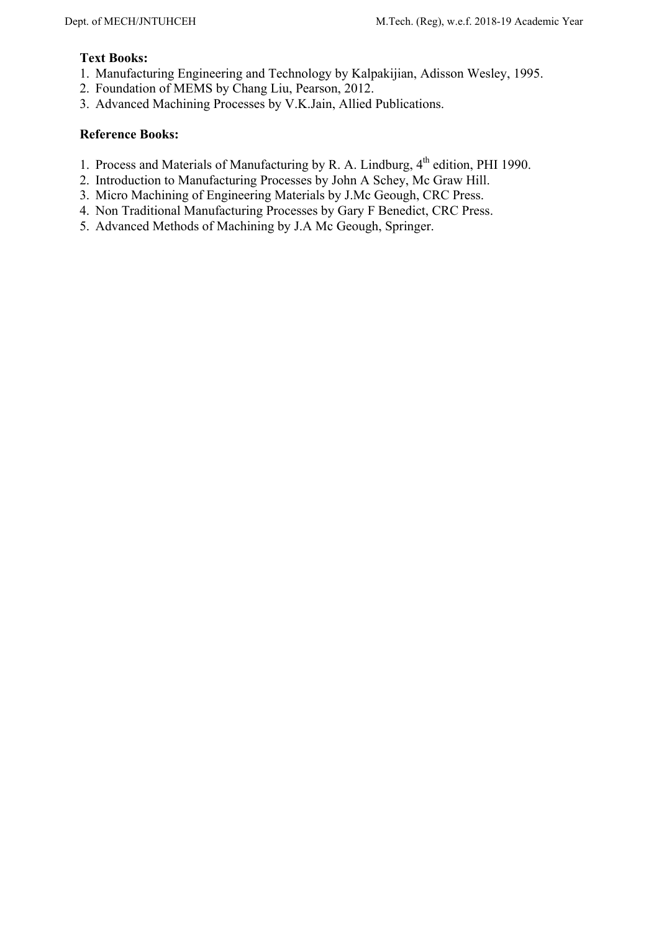# **Text Books:**

- 1. Manufacturing Engineering and Technology by Kalpakijian, Adisson Wesley, 1995.
- 2. Foundation of MEMS by Chang Liu, Pearson, 2012.
- 3. Advanced Machining Processes by V.K.Jain, Allied Publications.

- 1. Process and Materials of Manufacturing by R. A. Lindburg, 4<sup>th</sup> edition, PHI 1990.
- 2. Introduction to Manufacturing Processes by John A Schey, Mc Graw Hill.
- 3. Micro Machining of Engineering Materials by J.Mc Geough, CRC Press.
- 4. Non Traditional Manufacturing Processes by Gary F Benedict, CRC Press.
- 5. Advanced Methods of Machining by J.A Mc Geough, Springer.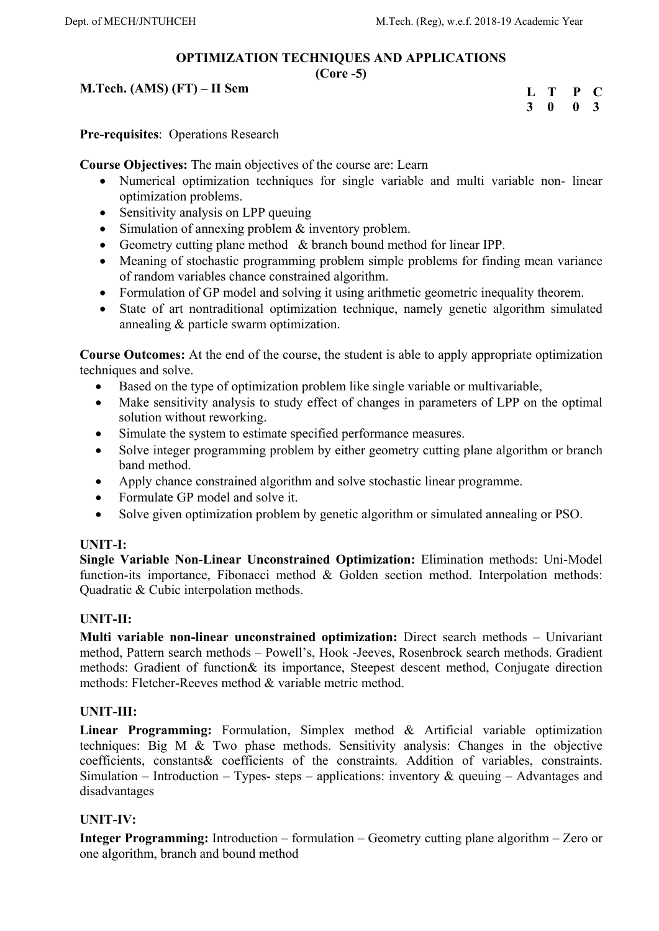# **OPTIMIZATION TECHNIQUES AND APPLICATIONS**

## **(Core -5)**

# **M.Tech. (AMS) (FT) – II Sem**

| L | T | P        | $\bullet$    |
|---|---|----------|--------------|
| 3 | 0 | $\bf{0}$ | $\mathbf{3}$ |

**Pre-requisites**: Operations Research

**Course Objectives:** The main objectives of the course are: Learn

- Numerical optimization techniques for single variable and multi variable non- linear optimization problems.
- Sensitivity analysis on LPP queuing
- Simulation of annexing problem & inventory problem.
- Geometry cutting plane method & branch bound method for linear IPP.
- Meaning of stochastic programming problem simple problems for finding mean variance of random variables chance constrained algorithm.
- Formulation of GP model and solving it using arithmetic geometric inequality theorem.
- State of art nontraditional optimization technique, namely genetic algorithm simulated annealing & particle swarm optimization.

**Course Outcomes:** At the end of the course, the student is able to apply appropriate optimization techniques and solve.

- Based on the type of optimization problem like single variable or multivariable,
- Make sensitivity analysis to study effect of changes in parameters of LPP on the optimal solution without reworking.
- Simulate the system to estimate specified performance measures.
- Solve integer programming problem by either geometry cutting plane algorithm or branch band method.
- Apply chance constrained algorithm and solve stochastic linear programme.
- Formulate GP model and solve it.
- Solve given optimization problem by genetic algorithm or simulated annealing or PSO.

# **UNIT-I:**

**Single Variable Non-Linear Unconstrained Optimization:** Elimination methods: Uni-Model function-its importance, Fibonacci method & Golden section method. Interpolation methods: Quadratic & Cubic interpolation methods.

# **UNIT-II:**

**Multi variable non-linear unconstrained optimization:** Direct search methods – Univariant method, Pattern search methods – Powell's, Hook -Jeeves, Rosenbrock search methods. Gradient methods: Gradient of function& its importance, Steepest descent method, Conjugate direction methods: Fletcher-Reeves method & variable metric method.

# **UNIT-III:**

**Linear Programming:** Formulation, Simplex method & Artificial variable optimization techniques: Big M & Two phase methods. Sensitivity analysis: Changes in the objective coefficients, constants& coefficients of the constraints. Addition of variables, constraints. Simulation – Introduction – Types- steps – applications: inventory  $\&$  queuing – Advantages and disadvantages

# **UNIT-IV:**

**Integer Programming:** Introduction – formulation – Geometry cutting plane algorithm – Zero or one algorithm, branch and bound method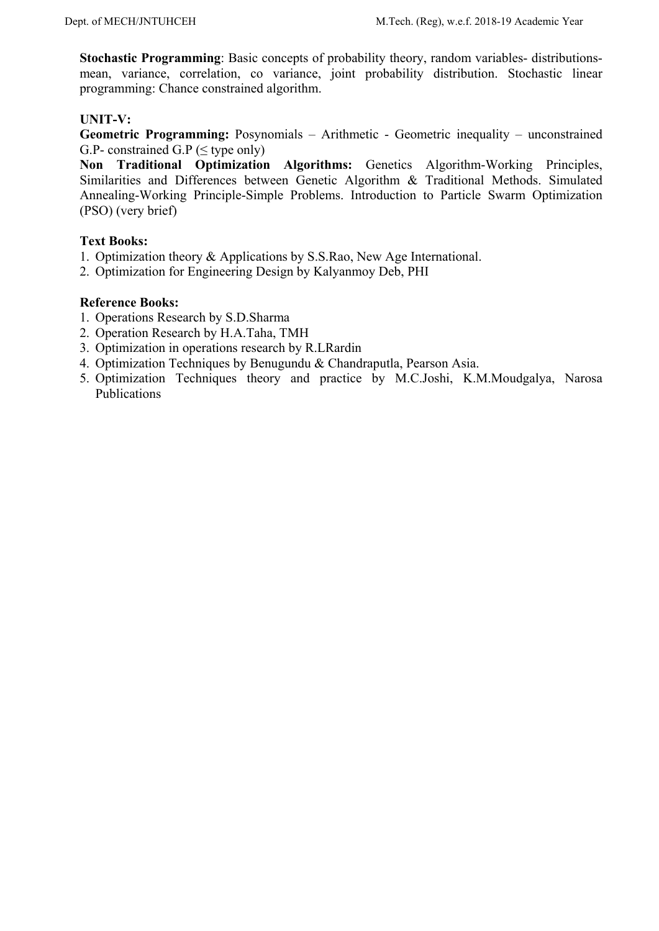**Stochastic Programming:** Basic concepts of probability theory, random variables- distributionsmean, variance, correlation, co variance, joint probability distribution. Stochastic linear programming: Chance constrained algorithm.

# **UNIT-V:**

**Geometric Programming:** Posynomials – Arithmetic - Geometric inequality – unconstrained G.P- constrained G.P ( $\leq$  type only)

**Non Traditional Optimization Algorithms:** Genetics Algorithm-Working Principles, Similarities and Differences between Genetic Algorithm & Traditional Methods. Simulated Annealing-Working Principle-Simple Problems. Introduction to Particle Swarm Optimization (PSO) (very brief)

## **Text Books:**

- 1. Optimization theory & Applications by S.S.Rao, New Age International.
- 2. Optimization for Engineering Design by Kalyanmoy Deb, PHI

- 1. Operations Research by S.D.Sharma
- 2. Operation Research by H.A.Taha, TMH
- 3. Optimization in operations research by R.LRardin
- 4. Optimization Techniques by Benugundu & Chandraputla, Pearson Asia.
- 5. Optimization Techniques theory and practice by M.C.Joshi, K.M.Moudgalya, Narosa Publications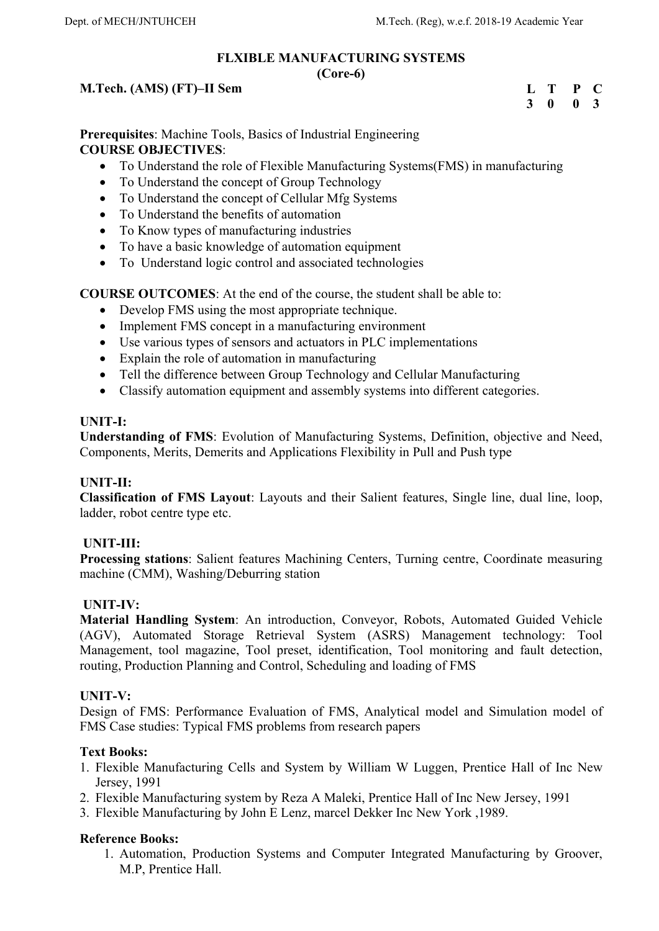# **FLXIBLE MANUFACTURING SYSTEMS**

## **(Core-6)**

# **M.Tech. (AMS) (FT)–II Sem**

| L | T            | P            | $\mathbf{C}$ |
|---|--------------|--------------|--------------|
| 3 | $\mathbf{0}$ | $\mathbf{0}$ | $\mathbf{3}$ |

**Prerequisites**: Machine Tools, Basics of Industrial Engineering **COURSE OBJECTIVES**:

- To Understand the role of Flexible Manufacturing Systems(FMS) in manufacturing
- To Understand the concept of Group Technology
- To Understand the concept of Cellular Mfg Systems
- To Understand the benefits of automation
- To Know types of manufacturing industries
- To have a basic knowledge of automation equipment
- To Understand logic control and associated technologies

**COURSE OUTCOMES**: At the end of the course, the student shall be able to:

- Develop FMS using the most appropriate technique.
- Implement FMS concept in a manufacturing environment
- Use various types of sensors and actuators in PLC implementations
- Explain the role of automation in manufacturing
- Tell the difference between Group Technology and Cellular Manufacturing
- Classify automation equipment and assembly systems into different categories.

# **UNIT-I:**

**Understanding of FMS**: Evolution of Manufacturing Systems, Definition, objective and Need, Components, Merits, Demerits and Applications Flexibility in Pull and Push type

# **UNIT-II:**

**Classification of FMS Layout**: Layouts and their Salient features, Single line, dual line, loop, ladder, robot centre type etc.

# **UNIT-III:**

**Processing stations**: Salient features Machining Centers, Turning centre, Coordinate measuring machine (CMM), Washing/Deburring station

# **UNIT-IV:**

**Material Handling System**: An introduction, Conveyor, Robots, Automated Guided Vehicle (AGV), Automated Storage Retrieval System (ASRS) Management technology: Tool Management, tool magazine, Tool preset, identification, Tool monitoring and fault detection, routing, Production Planning and Control, Scheduling and loading of FMS

# **UNIT-V:**

Design of FMS: Performance Evaluation of FMS, Analytical model and Simulation model of FMS Case studies: Typical FMS problems from research papers

# **Text Books:**

- 1. Flexible Manufacturing Cells and System by William W Luggen, Prentice Hall of Inc New Jersey, 1991
- 2. Flexible Manufacturing system by Reza A Maleki, Prentice Hall of Inc New Jersey, 1991
- 3. Flexible Manufacturing by John E Lenz, marcel Dekker Inc New York ,1989.

# **Reference Books:**

1. Automation, Production Systems and Computer Integrated Manufacturing by Groover, M.P, Prentice Hall.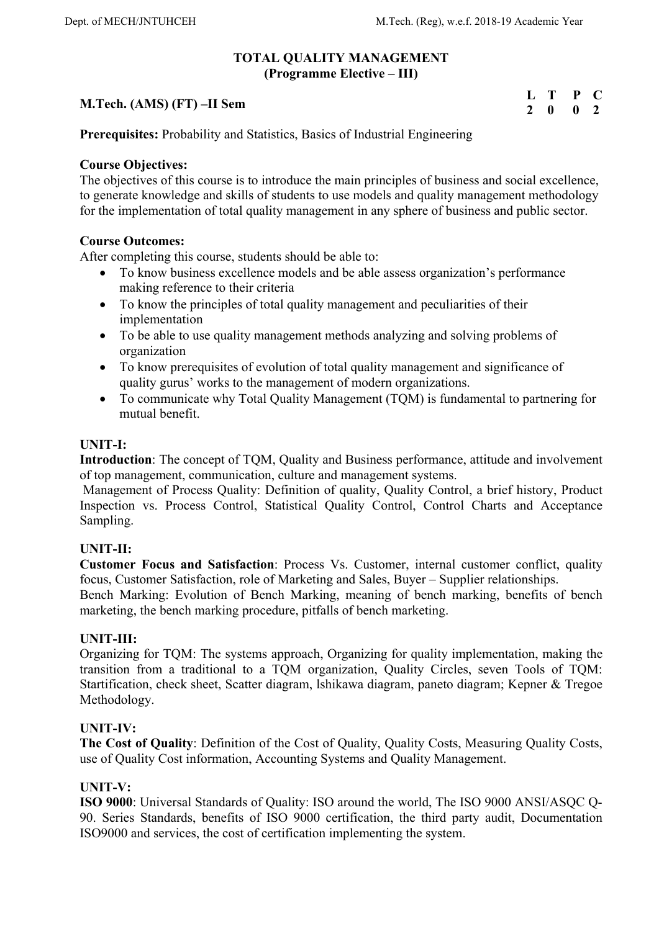## **TOTAL QUALITY MANAGEMENT (Programme Elective – III)**

|                            | L T P C                     |  |
|----------------------------|-----------------------------|--|
| M.Tech. (AMS) (FT) –II Sem | $2 \quad 0 \quad 0 \quad 2$ |  |

**Prerequisites:** Probability and Statistics, Basics of Industrial Engineering

## **Course Objectives:**

The objectives of this course is to introduce the main principles of business and social excellence, to generate knowledge and skills of students to use models and quality management methodology for the implementation of total quality management in any sphere of business and public sector.

## **Course Outcomes:**

After completing this course, students should be able to:

- To know business excellence models and be able assess organization's performance making reference to their criteria
- To know the principles of total quality management and peculiarities of their implementation
- To be able to use quality management methods analyzing and solving problems of organization
- To know prerequisites of evolution of total quality management and significance of quality gurus' works to the management of modern organizations.
- To communicate why Total Quality Management (TQM) is fundamental to partnering for mutual benefit.

## **UNIT-I:**

**Introduction**: The concept of TQM, Quality and Business performance, attitude and involvement of top management, communication, culture and management systems.

 Management of Process Quality: Definition of quality, Quality Control, a brief history, Product Inspection vs. Process Control, Statistical Quality Control, Control Charts and Acceptance Sampling.

# **UNIT-II:**

**Customer Focus and Satisfaction**: Process Vs. Customer, internal customer conflict, quality focus, Customer Satisfaction, role of Marketing and Sales, Buyer – Supplier relationships.

Bench Marking: Evolution of Bench Marking, meaning of bench marking, benefits of bench marketing, the bench marking procedure, pitfalls of bench marketing.

# **UNIT-III:**

Organizing for TQM: The systems approach, Organizing for quality implementation, making the transition from a traditional to a TQM organization, Quality Circles, seven Tools of TQM: Startification, check sheet, Scatter diagram, lshikawa diagram, paneto diagram; Kepner & Tregoe Methodology.

# **UNIT-IV:**

**The Cost of Quality**: Definition of the Cost of Quality, Quality Costs, Measuring Quality Costs, use of Quality Cost information, Accounting Systems and Quality Management.

## **UNIT-V:**

**ISO 9000**: Universal Standards of Quality: ISO around the world, The ISO 9000 ANSI/ASQC Q-90. Series Standards, benefits of ISO 9000 certification, the third party audit, Documentation ISO9000 and services, the cost of certification implementing the system.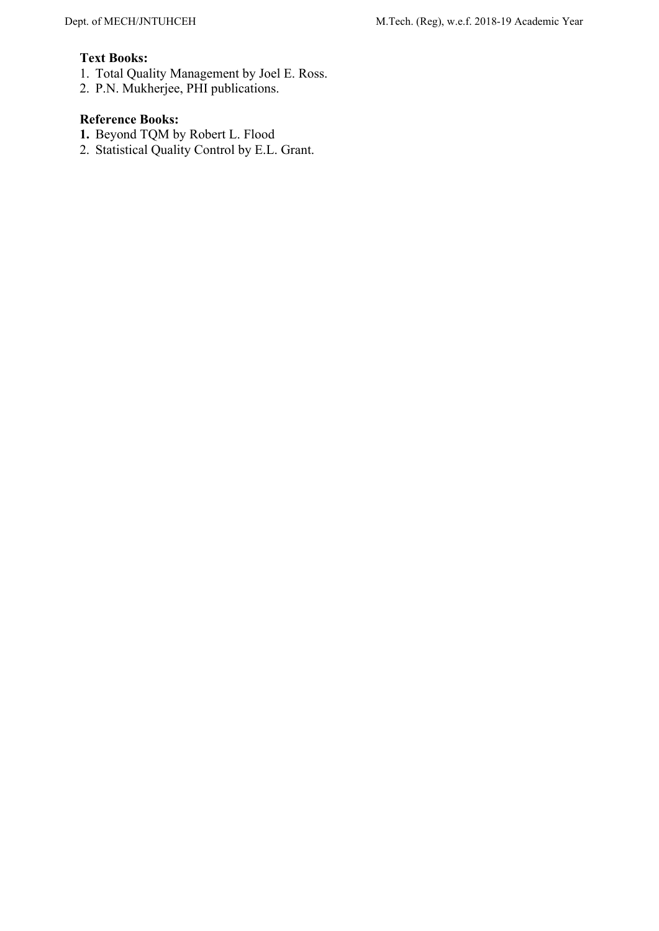# **Text Books:**

- 1. Total Quality Management by Joel E. Ross.
- 2. P.N. Mukherjee, PHI publications.

- **1.** Beyond TQM by Robert L. Flood
- 2. Statistical Quality Control by E.L. Grant.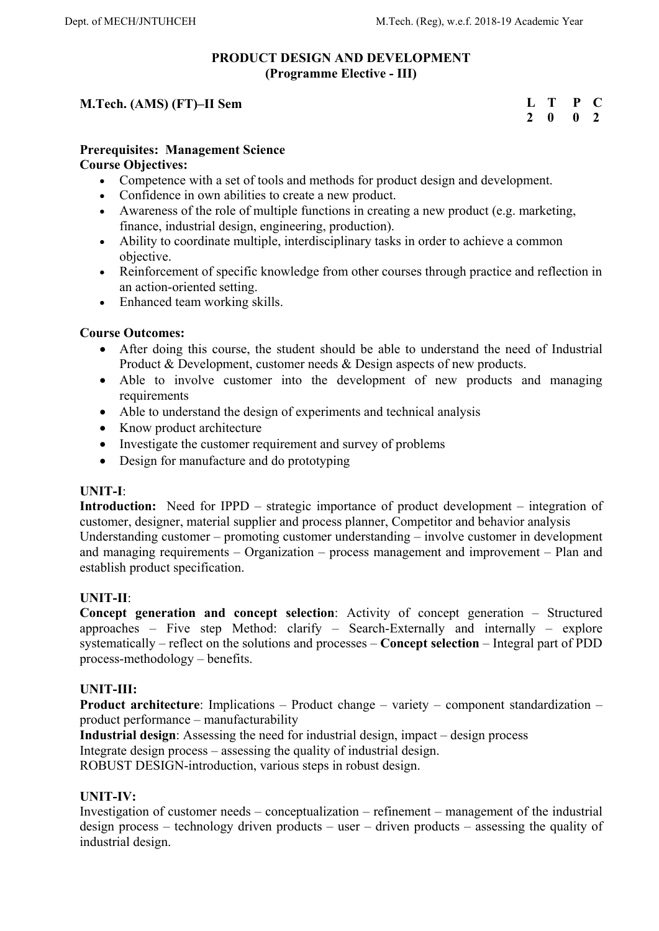# **PRODUCT DESIGN AND DEVELOPMENT (Programme Elective - III)**

# **M.Tech. (AMS) (FT)–II Sem**

| $\mathbf{L}$ | Т | P | L.            |
|--------------|---|---|---------------|
| 2            | o | o | $\mathcal{P}$ |

## **Prerequisites: Management Science**

## **Course Objectives:**

- Competence with a set of tools and methods for product design and development.
- Confidence in own abilities to create a new product.
- Awareness of the role of multiple functions in creating a new product (e.g. marketing, finance, industrial design, engineering, production).
- Ability to coordinate multiple, interdisciplinary tasks in order to achieve a common objective.
- Reinforcement of specific knowledge from other courses through practice and reflection in an action-oriented setting.
- Enhanced team working skills.

## **Course Outcomes:**

- After doing this course, the student should be able to understand the need of Industrial Product & Development, customer needs & Design aspects of new products.
- Able to involve customer into the development of new products and managing requirements
- Able to understand the design of experiments and technical analysis
- Know product architecture
- Investigate the customer requirement and survey of problems
- Design for manufacture and do prototyping

## **UNIT-I**:

**Introduction:** Need for IPPD – strategic importance of product development – integration of customer, designer, material supplier and process planner, Competitor and behavior analysis Understanding customer – promoting customer understanding – involve customer in development and managing requirements – Organization – process management and improvement – Plan and establish product specification.

## **UNIT-II**:

**Concept generation and concept selection**: Activity of concept generation – Structured approaches – Five step Method: clarify – Search-Externally and internally – explore systematically – reflect on the solutions and processes – **Concept selection** – Integral part of PDD process-methodology – benefits.

## **UNIT-III:**

**Product architecture**: Implications – Product change – variety – component standardization – product performance – manufacturability

**Industrial design**: Assessing the need for industrial design, impact – design process

Integrate design process – assessing the quality of industrial design.

ROBUST DESIGN-introduction, various steps in robust design.

# **UNIT-IV:**

Investigation of customer needs – conceptualization – refinement – management of the industrial design process – technology driven products – user – driven products – assessing the quality of industrial design.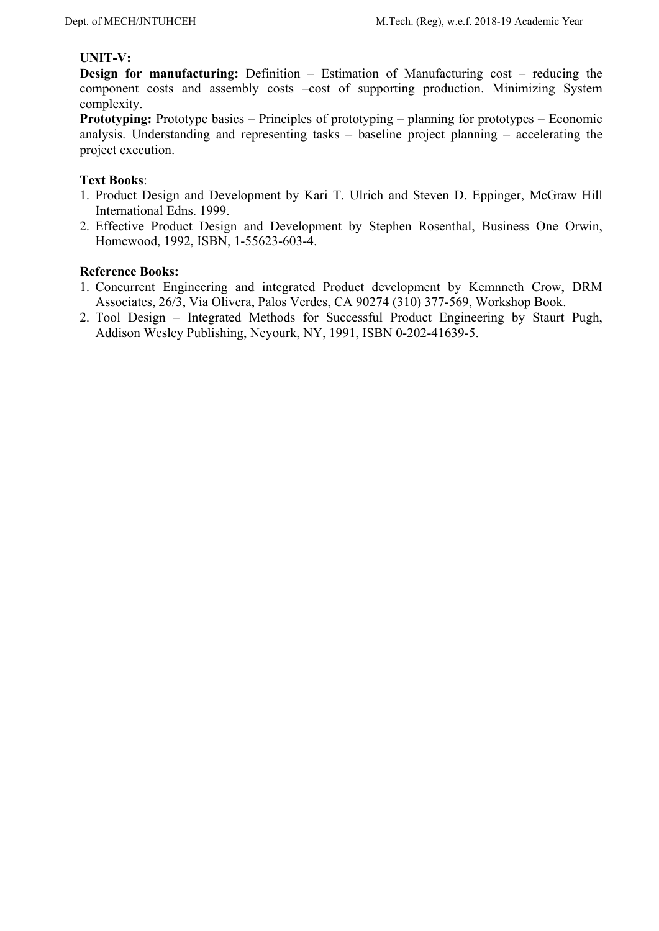## **UNIT-V:**

**Design for manufacturing:** Definition – Estimation of Manufacturing cost – reducing the component costs and assembly costs –cost of supporting production. Minimizing System complexity.

**Prototyping:** Prototype basics – Principles of prototyping – planning for prototypes – Economic analysis. Understanding and representing tasks – baseline project planning – accelerating the project execution.

## **Text Books**:

- 1. Product Design and Development by Kari T. Ulrich and Steven D. Eppinger, McGraw Hill International Edns. 1999.
- 2. Effective Product Design and Development by Stephen Rosenthal, Business One Orwin, Homewood, 1992, ISBN, 1-55623-603-4.

- 1. Concurrent Engineering and integrated Product development by Kemnneth Crow, DRM Associates, 26/3, Via Olivera, Palos Verdes, CA 90274 (310) 377-569, Workshop Book.
- 2. Tool Design Integrated Methods for Successful Product Engineering by Staurt Pugh, Addison Wesley Publishing, Neyourk, NY, 1991, ISBN 0-202-41639-5.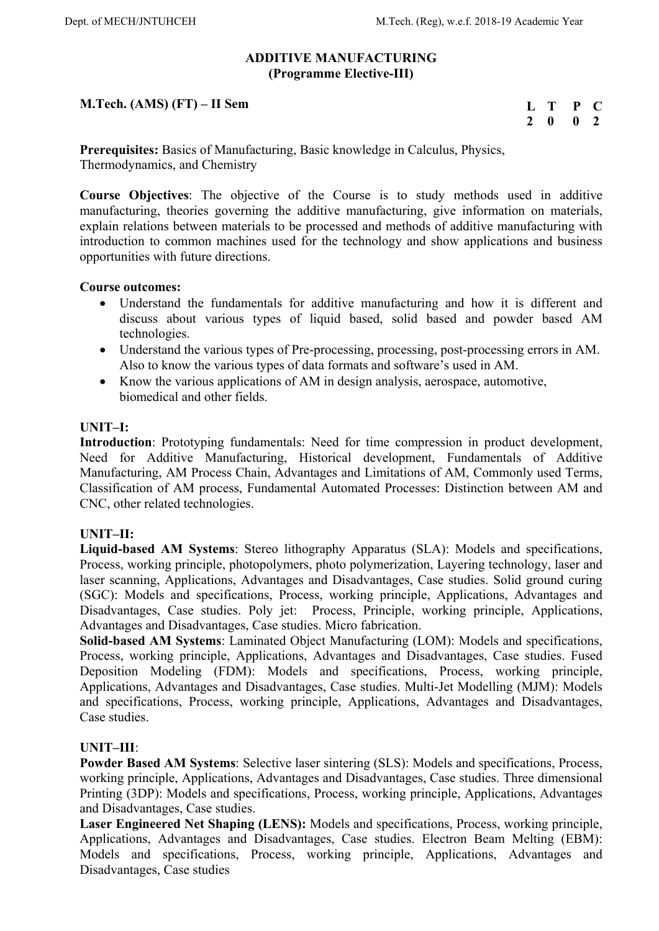## **ADDITIVE MANUFACTURING (Programme Elective-III)**

# **M.Tech. (AMS) (FT) – II Sem**

| н |   | P | L. |
|---|---|---|----|
| 7 | o | o | 7  |

**Prerequisites:** Basics of Manufacturing, Basic knowledge in Calculus, Physics, Thermodynamics, and Chemistry

**Course Objectives**: The objective of the Course is to study methods used in additive manufacturing, theories governing the additive manufacturing, give information on materials, explain relations between materials to be processed and methods of additive manufacturing with introduction to common machines used for the technology and show applications and business opportunities with future directions.

## **Course outcomes:**

- Understand the fundamentals for additive manufacturing and how it is different and discuss about various types of liquid based, solid based and powder based AM technologies.
- Understand the various types of Pre-processing, processing, post-processing errors in AM. Also to know the various types of data formats and software's used in AM.
- Know the various applications of AM in design analysis, aerospace, automotive, biomedical and other fields.

## **UNIT–I:**

**Introduction**: Prototyping fundamentals: Need for time compression in product development, Need for Additive Manufacturing, Historical development, Fundamentals of Additive Manufacturing, AM Process Chain, Advantages and Limitations of AM, Commonly used Terms, Classification of AM process, Fundamental Automated Processes: Distinction between AM and CNC, other related technologies.

# **UNIT–II:**

**Liquid-based AM Systems**: Stereo lithography Apparatus (SLA): Models and specifications, Process, working principle, photopolymers, photo polymerization, Layering technology, laser and laser scanning, Applications, Advantages and Disadvantages, Case studies. Solid ground curing (SGC): Models and specifications, Process, working principle, Applications, Advantages and Disadvantages, Case studies. Poly jet: Process, Principle, working principle, Applications, Advantages and Disadvantages, Case studies. Micro fabrication.

**Solid-based AM Systems**: Laminated Object Manufacturing (LOM): Models and specifications, Process, working principle, Applications, Advantages and Disadvantages, Case studies. Fused Deposition Modeling (FDM): Models and specifications, Process, working principle, Applications, Advantages and Disadvantages, Case studies. Multi-Jet Modelling (MJM): Models and specifications, Process, working principle, Applications, Advantages and Disadvantages, Case studies.

## **UNIT–III**:

**Powder Based AM Systems**: Selective laser sintering (SLS): Models and specifications, Process, working principle, Applications, Advantages and Disadvantages, Case studies. Three dimensional Printing (3DP): Models and specifications, Process, working principle, Applications, Advantages and Disadvantages, Case studies.

**Laser Engineered Net Shaping (LENS):** Models and specifications, Process, working principle, Applications, Advantages and Disadvantages, Case studies. Electron Beam Melting (EBM): Models and specifications, Process, working principle, Applications, Advantages and Disadvantages, Case studies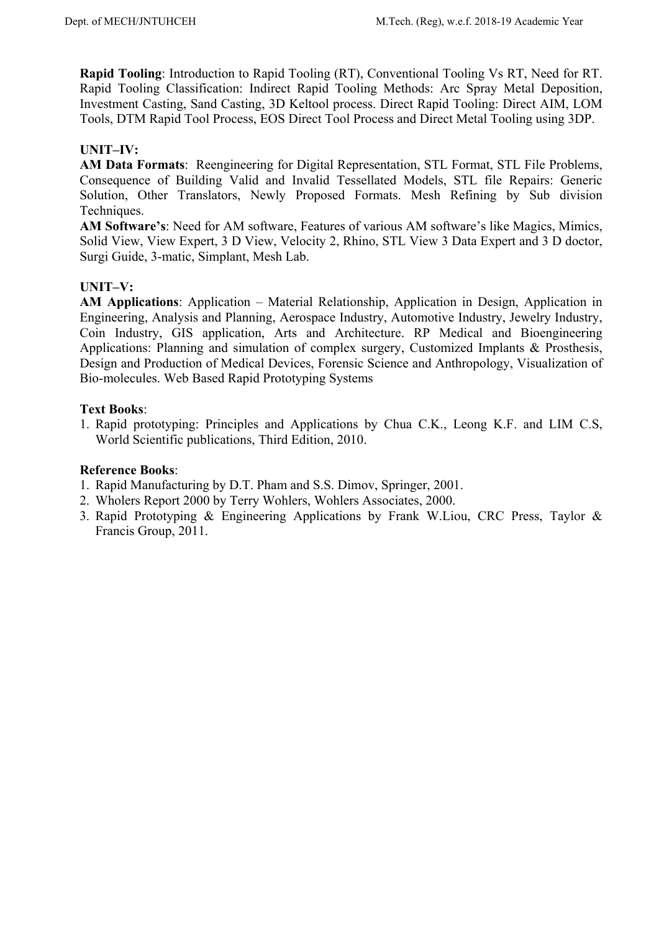**Rapid Tooling**: Introduction to Rapid Tooling (RT), Conventional Tooling Vs RT, Need for RT. Rapid Tooling Classification: Indirect Rapid Tooling Methods: Arc Spray Metal Deposition, Investment Casting, Sand Casting, 3D Keltool process. Direct Rapid Tooling: Direct AIM, LOM Tools, DTM Rapid Tool Process, EOS Direct Tool Process and Direct Metal Tooling using 3DP.

# **UNIT–IV:**

**AM Data Formats**: Reengineering for Digital Representation, STL Format, STL File Problems, Consequence of Building Valid and Invalid Tessellated Models, STL file Repairs: Generic Solution, Other Translators, Newly Proposed Formats. Mesh Refining by Sub division Techniques.

**AM Software's**: Need for AM software, Features of various AM software's like Magics, Mimics, Solid View, View Expert, 3 D View, Velocity 2, Rhino, STL View 3 Data Expert and 3 D doctor, Surgi Guide, 3-matic, Simplant, Mesh Lab.

## **UNIT–V:**

**AM Applications**: Application – Material Relationship, Application in Design, Application in Engineering, Analysis and Planning, Aerospace Industry, Automotive Industry, Jewelry Industry, Coin Industry, GIS application, Arts and Architecture. RP Medical and Bioengineering Applications: Planning and simulation of complex surgery, Customized Implants & Prosthesis, Design and Production of Medical Devices, Forensic Science and Anthropology, Visualization of Bio-molecules. Web Based Rapid Prototyping Systems

## **Text Books**:

1. Rapid prototyping: Principles and Applications by Chua C.K., Leong K.F. and LIM C.S, World Scientific publications, Third Edition, 2010.

- 1. Rapid Manufacturing by D.T. Pham and S.S. Dimov, Springer, 2001.
- 2. Wholers Report 2000 by Terry Wohlers, Wohlers Associates, 2000.
- 3. Rapid Prototyping & Engineering Applications by Frank W.Liou, CRC Press, Taylor & Francis Group, 2011.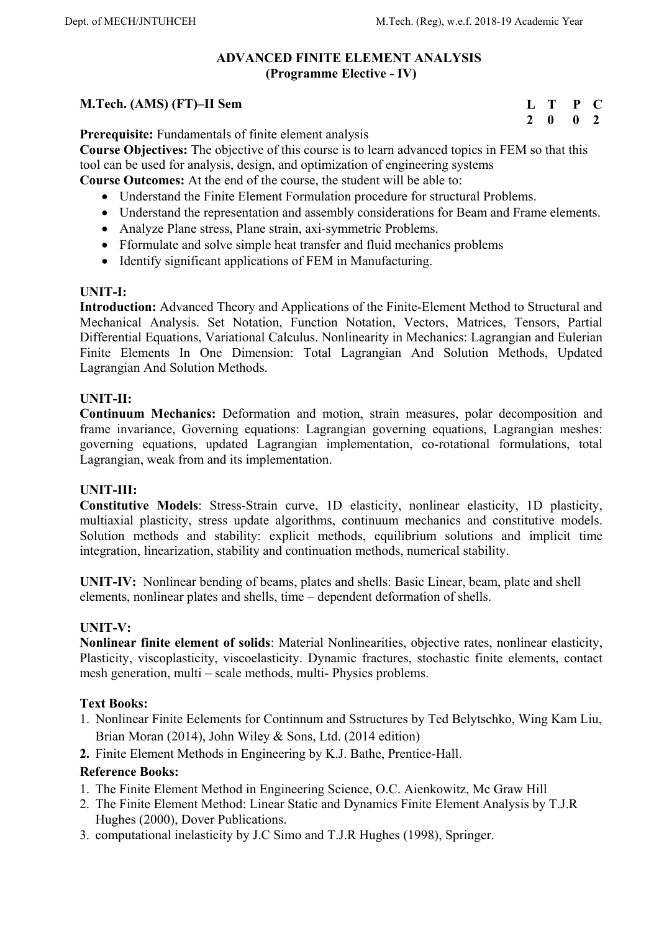## **ADVANCED FINITE ELEMENT ANALYSIS (Programme Elective - IV)**

## **M.Tech. (AMS) (FT)–II Sem**

**L T P C 2 0 0 2** 

**Prerequisite:** Fundamentals of finite element analysis

**Course Objectives:** The objective of this course is to learn advanced topics in FEM so that this tool can be used for analysis, design, and optimization of engineering systems

**Course Outcomes:** At the end of the course, the student will be able to:

- Understand the Finite Element Formulation procedure for structural Problems.
- Understand the representation and assembly considerations for Beam and Frame elements.
- Analyze Plane stress, Plane strain, axi-symmetric Problems.
- Fformulate and solve simple heat transfer and fluid mechanics problems
- Identify significant applications of FEM in Manufacturing.

## **UNIT-I:**

**Introduction:** Advanced Theory and Applications of the Finite-Element Method to Structural and Mechanical Analysis. Set Notation, Function Notation, Vectors, Matrices, Tensors, Partial Differential Equations, Variational Calculus. Nonlinearity in Mechanics: Lagrangian and Eulerian Finite Elements In One Dimension: Total Lagrangian And Solution Methods, Updated Lagrangian And Solution Methods.

## **UNIT-II:**

**Continuum Mechanics:** Deformation and motion, strain measures, polar decomposition and frame invariance, Governing equations: Lagrangian governing equations, Lagrangian meshes: governing equations, updated Lagrangian implementation, co-rotational formulations, total Lagrangian, weak from and its implementation.

## **UNIT-III:**

**Constitutive Models**: Stress-Strain curve, 1D elasticity, nonlinear elasticity, 1D plasticity, multiaxial plasticity, stress update algorithms, continuum mechanics and constitutive models. Solution methods and stability: explicit methods, equilibrium solutions and implicit time integration, linearization, stability and continuation methods, numerical stability.

**UNIT-IV:** Nonlinear bending of beams, plates and shells: Basic Linear, beam, plate and shell elements, nonlinear plates and shells, time – dependent deformation of shells.

## **UNIT-V:**

**Nonlinear finite element of solids**: Material Nonlinearities, objective rates, nonlinear elasticity, Plasticity, viscoplasticity, viscoelasticity. Dynamic fractures, stochastic finite elements, contact mesh generation, multi – scale methods, multi- Physics problems.

## **Text Books:**

- 1. Nonlinear Finite Eelements for Continnum and Sstructures by Ted Belytschko, Wing Kam Liu, Brian Moran (2014), John Wiley & Sons, Ltd. (2014 edition)
- **2.** Finite Element Methods in Engineering by K.J. Bathe, Prentice-Hall.

- 1. The Finite Element Method in Engineering Science, O.C. Aienkowitz, Mc Graw Hill
- 2. The Finite Element Method: Linear Static and Dynamics Finite Element Analysis by T.J.R Hughes (2000), Dover Publications.
- 3. computational inelasticity by J.C Simo and T.J.R Hughes (1998), Springer.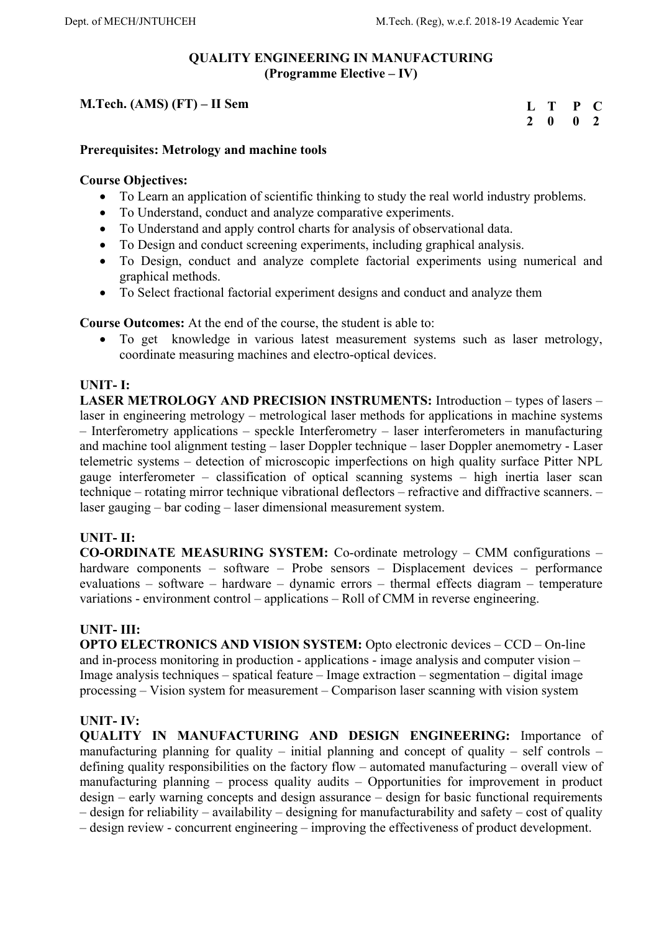# **QUALITY ENGINEERING IN MANUFACTURING (Programme Elective – IV)**

# **M.Tech. (AMS) (FT) – II Sem**

**L T P C 2 0 0 2** 

## **Prerequisites: Metrology and machine tools**

## **Course Objectives:**

- To Learn an application of scientific thinking to study the real world industry problems.
- To Understand, conduct and analyze comparative experiments.
- To Understand and apply control charts for analysis of observational data.
- To Design and conduct screening experiments, including graphical analysis.
- To Design, conduct and analyze complete factorial experiments using numerical and graphical methods.
- To Select fractional factorial experiment designs and conduct and analyze them

**Course Outcomes:** At the end of the course, the student is able to:

 To get knowledge in various latest measurement systems such as laser metrology, coordinate measuring machines and electro-optical devices.

## **UNIT- I:**

**LASER METROLOGY AND PRECISION INSTRUMENTS:** Introduction – types of lasers – laser in engineering metrology – metrological laser methods for applications in machine systems – Interferometry applications – speckle Interferometry – laser interferometers in manufacturing and machine tool alignment testing – laser Doppler technique – laser Doppler anemometry - Laser telemetric systems – detection of microscopic imperfections on high quality surface Pitter NPL gauge interferometer – classification of optical scanning systems – high inertia laser scan technique – rotating mirror technique vibrational deflectors – refractive and diffractive scanners. – laser gauging – bar coding – laser dimensional measurement system.

# **UNIT- II:**

**CO-ORDINATE MEASURING SYSTEM:** Co-ordinate metrology – CMM configurations – hardware components – software – Probe sensors – Displacement devices – performance evaluations – software – hardware – dynamic errors – thermal effects diagram – temperature variations - environment control – applications – Roll of CMM in reverse engineering.

## **UNIT- III:**

**OPTO ELECTRONICS AND VISION SYSTEM:** Opto electronic devices – CCD – On-line and in-process monitoring in production - applications - image analysis and computer vision – Image analysis techniques – spatical feature – Image extraction – segmentation – digital image processing – Vision system for measurement – Comparison laser scanning with vision system

## **UNIT- IV:**

**QUALITY IN MANUFACTURING AND DESIGN ENGINEERING:** Importance of manufacturing planning for quality – initial planning and concept of quality – self controls – defining quality responsibilities on the factory flow – automated manufacturing – overall view of manufacturing planning – process quality audits – Opportunities for improvement in product design – early warning concepts and design assurance – design for basic functional requirements – design for reliability – availability – designing for manufacturability and safety – cost of quality – design review - concurrent engineering – improving the effectiveness of product development.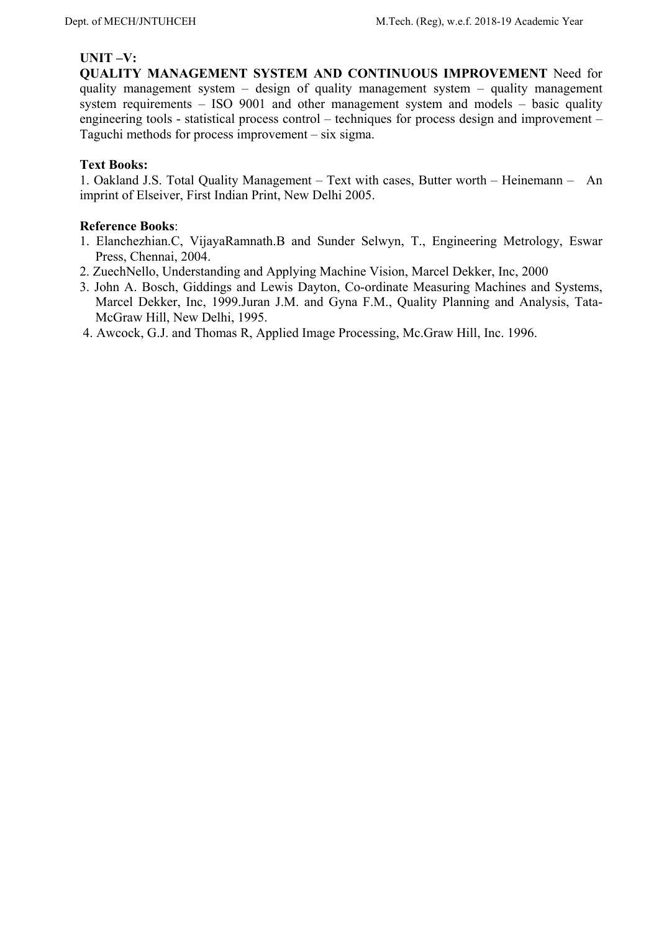## **UNIT –V:**

**QUALITY MANAGEMENT SYSTEM AND CONTINUOUS IMPROVEMENT** Need for quality management system – design of quality management system – quality management system requirements – ISO 9001 and other management system and models – basic quality engineering tools - statistical process control – techniques for process design and improvement – Taguchi methods for process improvement – six sigma.

## **Text Books:**

1. Oakland J.S. Total Quality Management – Text with cases, Butter worth – Heinemann – An imprint of Elseiver, First Indian Print, New Delhi 2005.

- 1. Elanchezhian.C, VijayaRamnath.B and Sunder Selwyn, T., Engineering Metrology, Eswar Press, Chennai, 2004.
- 2. ZuechNello, Understanding and Applying Machine Vision, Marcel Dekker, Inc, 2000
- 3. John A. Bosch, Giddings and Lewis Dayton, Co-ordinate Measuring Machines and Systems, Marcel Dekker, Inc, 1999.Juran J.M. and Gyna F.M., Quality Planning and Analysis, Tata-McGraw Hill, New Delhi, 1995.
- 4. Awcock, G.J. and Thomas R, Applied Image Processing, Mc.Graw Hill, Inc. 1996.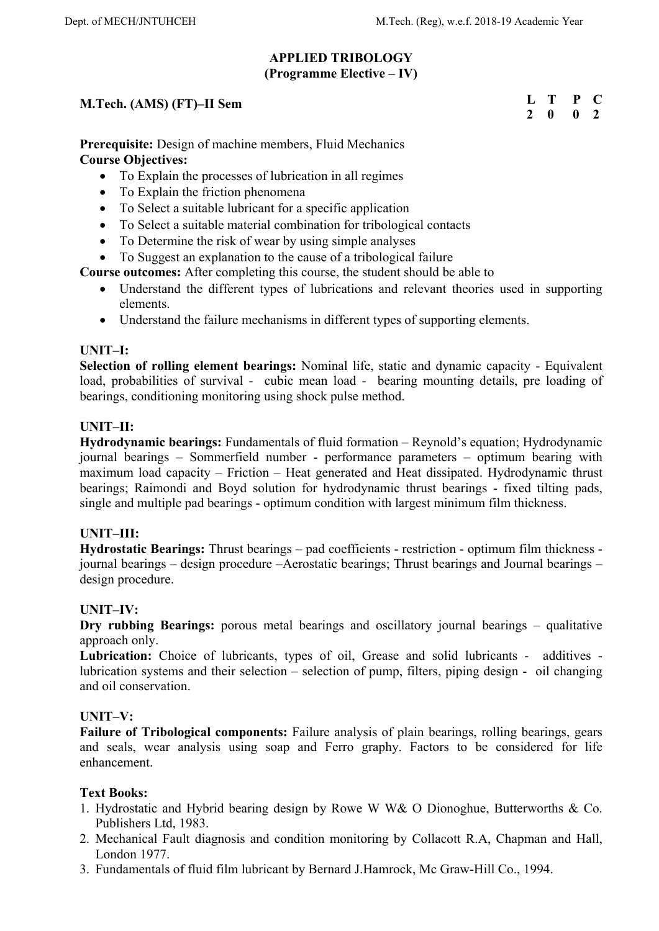**L T P C 2 0 0 2** 

## **APPLIED TRIBOLOGY (Programme Elective – IV)**

## **M.Tech. (AMS) (FT)–II Sem**

**Prerequisite:** Design of machine members, Fluid Mechanics **Course Objectives:** 

- To Explain the processes of lubrication in all regimes
- To Explain the friction phenomena
- To Select a suitable lubricant for a specific application
- To Select a suitable material combination for tribological contacts
- To Determine the risk of wear by using simple analyses
- To Suggest an explanation to the cause of a tribological failure

**Course outcomes:** After completing this course, the student should be able to

- Understand the different types of lubrications and relevant theories used in supporting elements.
- Understand the failure mechanisms in different types of supporting elements.

## **UNIT–I:**

**Selection of rolling element bearings:** Nominal life, static and dynamic capacity - Equivalent load, probabilities of survival - cubic mean load - bearing mounting details, pre loading of bearings, conditioning monitoring using shock pulse method.

# **UNIT–II:**

**Hydrodynamic bearings:** Fundamentals of fluid formation – Reynold's equation; Hydrodynamic journal bearings – Sommerfield number - performance parameters – optimum bearing with maximum load capacity – Friction – Heat generated and Heat dissipated. Hydrodynamic thrust bearings; Raimondi and Boyd solution for hydrodynamic thrust bearings - fixed tilting pads, single and multiple pad bearings - optimum condition with largest minimum film thickness.

## **UNIT–III:**

**Hydrostatic Bearings:** Thrust bearings – pad coefficients - restriction - optimum film thickness journal bearings – design procedure –Aerostatic bearings; Thrust bearings and Journal bearings – design procedure.

## **UNIT–IV:**

**Dry rubbing Bearings:** porous metal bearings and oscillatory journal bearings – qualitative approach only.

Lubrication: Choice of lubricants, types of oil, Grease and solid lubricants - additives lubrication systems and their selection – selection of pump, filters, piping design - oil changing and oil conservation.

## **UNIT–V:**

**Failure of Tribological components:** Failure analysis of plain bearings, rolling bearings, gears and seals, wear analysis using soap and Ferro graphy. Factors to be considered for life enhancement.

## **Text Books:**

- 1. Hydrostatic and Hybrid bearing design by Rowe W W& O Dionoghue, Butterworths & Co. Publishers Ltd, 1983.
- 2. Mechanical Fault diagnosis and condition monitoring by Collacott R.A, Chapman and Hall, London 1977.
- 3. Fundamentals of fluid film lubricant by Bernard J.Hamrock, Mc Graw-Hill Co., 1994.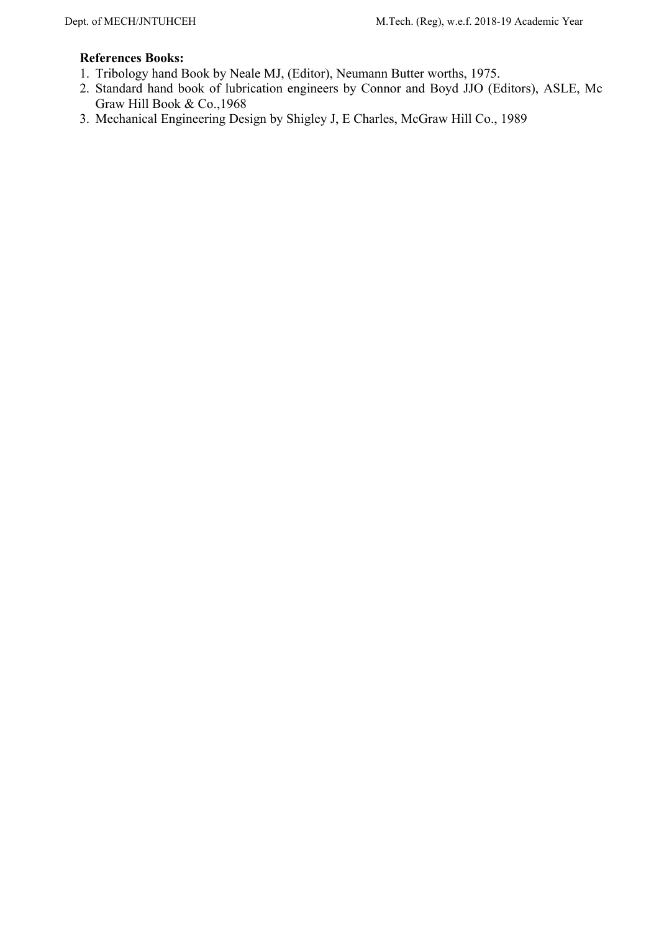- 1. Tribology hand Book by Neale MJ, (Editor), Neumann Butter worths, 1975.
- 2. Standard hand book of lubrication engineers by Connor and Boyd JJO (Editors), ASLE, Mc Graw Hill Book & Co.,1968
- 3. Mechanical Engineering Design by Shigley J, E Charles, McGraw Hill Co., 1989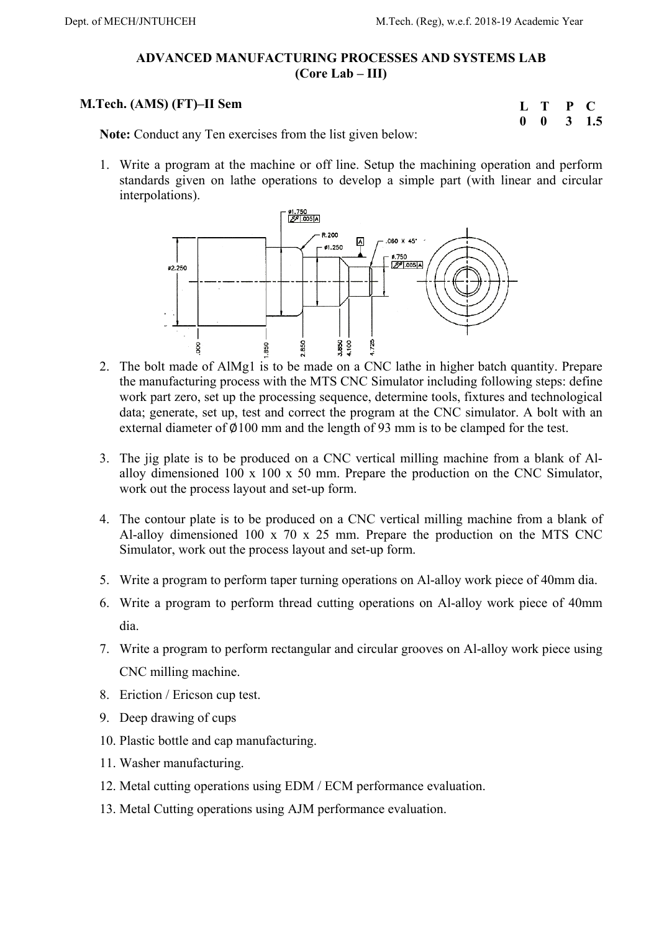# **ADVANCED MANUFACTURING PROCESSES AND SYSTEMS LAB (Core Lab – III)**

# **M.Tech. (AMS) (FT)–II Sem**

| L |   | P | $\blacksquare$ |
|---|---|---|----------------|
| 0 | o | 3 | 1.5            |

**Note:** Conduct any Ten exercises from the list given below:

1. Write a program at the machine or off line. Setup the machining operation and perform standards given on lathe operations to develop a simple part (with linear and circular interpolations).



- 2. The bolt made of AlMg1 is to be made on a CNC lathe in higher batch quantity. Prepare the manufacturing process with the MTS CNC Simulator including following steps: define work part zero, set up the processing sequence, determine tools, fixtures and technological data; generate, set up, test and correct the program at the CNC simulator. A bolt with an external diameter of  $\emptyset$ 100 mm and the length of 93 mm is to be clamped for the test.
- 3. The jig plate is to be produced on a CNC vertical milling machine from a blank of Alalloy dimensioned 100 x 100 x 50 mm. Prepare the production on the CNC Simulator, work out the process layout and set-up form.
- 4. The contour plate is to be produced on a CNC vertical milling machine from a blank of Al-alloy dimensioned 100 x 70 x 25 mm. Prepare the production on the MTS CNC Simulator, work out the process layout and set-up form.
- 5. Write a program to perform taper turning operations on Al-alloy work piece of 40mm dia.
- 6. Write a program to perform thread cutting operations on Al-alloy work piece of 40mm dia.
- 7. Write a program to perform rectangular and circular grooves on Al-alloy work piece using CNC milling machine.
- 8. Eriction / Ericson cup test.
- 9. Deep drawing of cups
- 10. Plastic bottle and cap manufacturing.
- 11. Washer manufacturing.
- 12. Metal cutting operations using EDM / ECM performance evaluation.
- 13. Metal Cutting operations using AJM performance evaluation.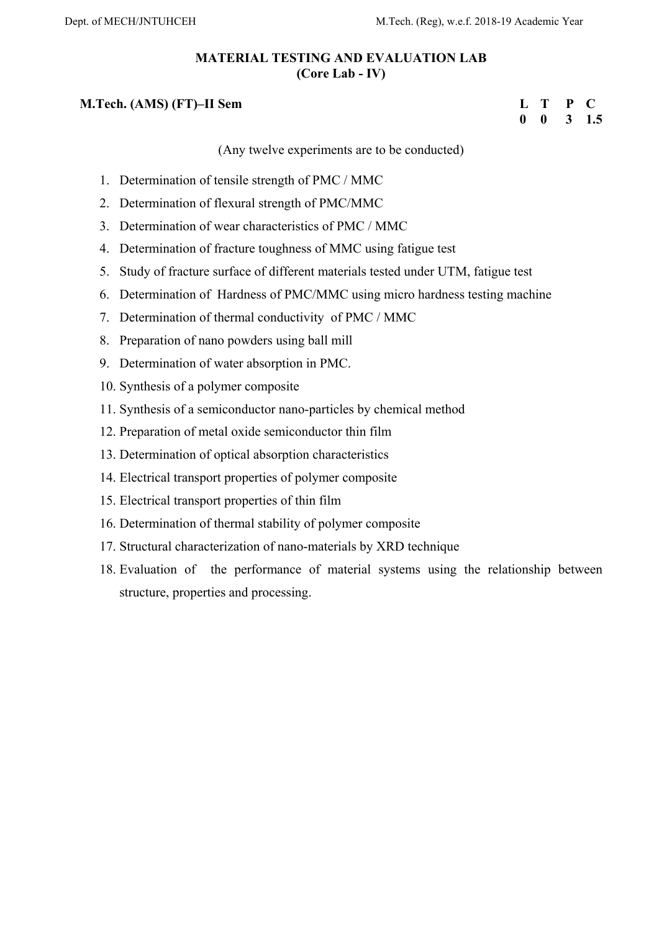# **MATERIAL TESTING AND EVALUATION LAB (Core Lab - IV)**

## **M.Tech. (AMS) (FT)–II Sem**

## **L T P C 0 0 3 1.5**

(Any twelve experiments are to be conducted)

- 1. Determination of tensile strength of PMC / MMC
- 2. Determination of flexural strength of PMC/MMC
- 3. Determination of wear characteristics of PMC / MMC
- 4. Determination of fracture toughness of MMC using fatigue test
- 5. Study of fracture surface of different materials tested under UTM, fatigue test
- 6. Determination of Hardness of PMC/MMC using micro hardness testing machine
- 7. Determination of thermal conductivity of PMC / MMC
- 8. Preparation of nano powders using ball mill
- 9. Determination of water absorption in PMC.
- 10. Synthesis of a polymer composite
- 11. Synthesis of a semiconductor nano-particles by chemical method
- 12. Preparation of metal oxide semiconductor thin film
- 13. Determination of optical absorption characteristics
- 14. Electrical transport properties of polymer composite
- 15. Electrical transport properties of thin film
- 16. Determination of thermal stability of polymer composite
- 17. Structural characterization of nano-materials by XRD technique
- 18. Evaluation of the performance of material systems using the relationship between structure, properties and processing.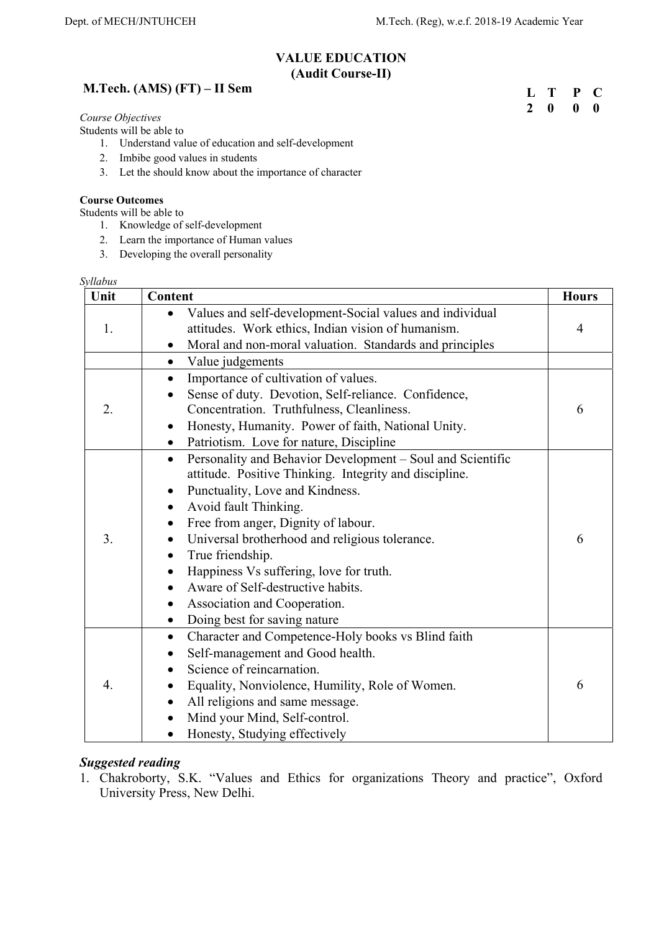**L T P C 2 0 0 0** 

# **VALUE EDUCATION (Audit Course-II)**

# **M.Tech. (AMS) (FT) – II Sem**

*Course Objectives*

Students will be able to

- 1. Understand value of education and self-development
- 2. Imbibe good values in students
- 3. Let the should know about the importance of character

#### **Course Outcomes**

Students will be able to

- 1. Knowledge of self-development
- 2. Learn the importance of Human values
- 3. Developing the overall personality

#### *Syllabus*

| Unit | Content                                                                                                                                                                                                                                                                                                                                                                                                                                                                                                                     | <b>Hours</b>   |
|------|-----------------------------------------------------------------------------------------------------------------------------------------------------------------------------------------------------------------------------------------------------------------------------------------------------------------------------------------------------------------------------------------------------------------------------------------------------------------------------------------------------------------------------|----------------|
| 1.   | Values and self-development-Social values and individual<br>attitudes. Work ethics, Indian vision of humanism.<br>Moral and non-moral valuation. Standards and principles<br>$\bullet$                                                                                                                                                                                                                                                                                                                                      | $\overline{4}$ |
|      | Value judgements<br>$\bullet$                                                                                                                                                                                                                                                                                                                                                                                                                                                                                               |                |
| 2.   | Importance of cultivation of values.<br>$\bullet$<br>Sense of duty. Devotion, Self-reliance. Confidence,<br>$\bullet$<br>Concentration. Truthfulness, Cleanliness.<br>Honesty, Humanity. Power of faith, National Unity.<br>$\bullet$<br>Patriotism. Love for nature, Discipline<br>$\bullet$                                                                                                                                                                                                                               | 6              |
| 3.   | Personality and Behavior Development – Soul and Scientific<br>$\bullet$<br>attitude. Positive Thinking. Integrity and discipline.<br>Punctuality, Love and Kindness.<br>Avoid fault Thinking.<br>$\bullet$<br>Free from anger, Dignity of labour.<br>$\bullet$<br>Universal brotherhood and religious tolerance.<br>True friendship.<br>$\bullet$<br>Happiness Vs suffering, love for truth.<br>Aware of Self-destructive habits.<br>Association and Cooperation.<br>$\bullet$<br>Doing best for saving nature<br>$\bullet$ | 6              |
| 4.   | Character and Competence-Holy books vs Blind faith<br>$\bullet$<br>Self-management and Good health.<br>$\bullet$<br>Science of reincarnation.<br>Equality, Nonviolence, Humility, Role of Women.<br>All religions and same message.<br>Mind your Mind, Self-control.<br>Honesty, Studying effectively<br>$\bullet$                                                                                                                                                                                                          | 6              |

### *Suggested reading*

1. Chakroborty, S.K. "Values and Ethics for organizations Theory and practice", Oxford University Press, New Delhi.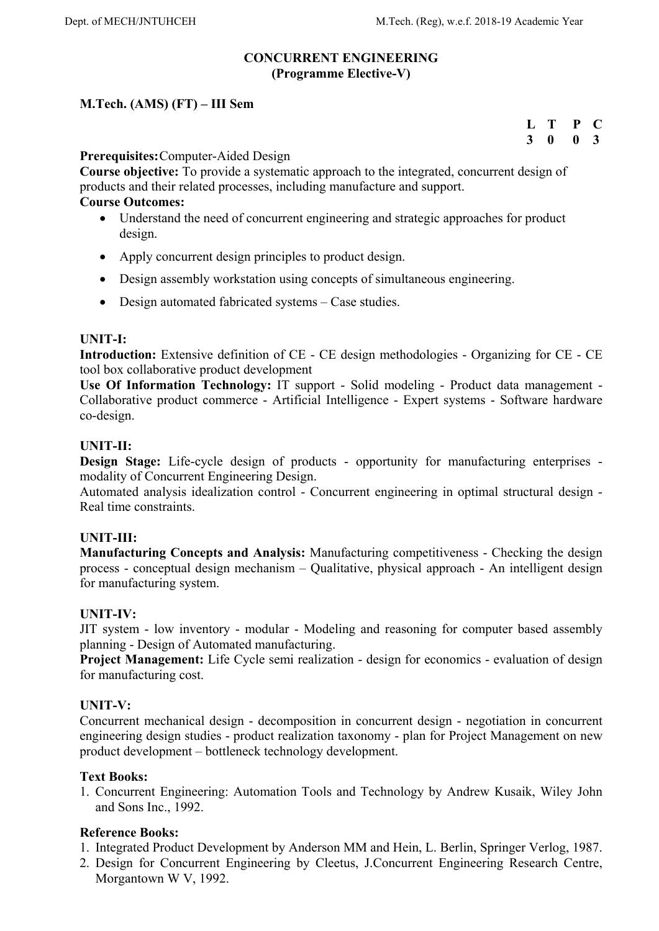## **CONCURRENT ENGINEERING (Programme Elective-V)**

# **M.Tech. (AMS) (FT) – III Sem**

# **L T P C 3 0 0 3**

## **Prerequisites:** Computer-Aided Design

**Course objective:** To provide a systematic approach to the integrated, concurrent design of products and their related processes, including manufacture and support.

#### **Course Outcomes:**

- Understand the need of concurrent engineering and strategic approaches for product design.
- Apply concurrent design principles to product design.
- Design assembly workstation using concepts of simultaneous engineering.
- Design automated fabricated systems Case studies.

## **UNIT-I:**

**Introduction:** Extensive definition of CE - CE design methodologies - Organizing for CE - CE tool box collaborative product development

**Use Of Information Technology:** IT support - Solid modeling - Product data management - Collaborative product commerce - Artificial Intelligence - Expert systems - Software hardware co-design.

## **UNIT-II:**

**Design Stage:** Life-cycle design of products - opportunity for manufacturing enterprises modality of Concurrent Engineering Design.

Automated analysis idealization control - Concurrent engineering in optimal structural design - Real time constraints.

## **UNIT-III:**

**Manufacturing Concepts and Analysis:** Manufacturing competitiveness - Checking the design process - conceptual design mechanism – Qualitative, physical approach - An intelligent design for manufacturing system.

## **UNIT-IV:**

JIT system - low inventory - modular - Modeling and reasoning for computer based assembly planning - Design of Automated manufacturing.

**Project Management:** Life Cycle semi realization - design for economics - evaluation of design for manufacturing cost.

## **UNIT-V:**

Concurrent mechanical design - decomposition in concurrent design - negotiation in concurrent engineering design studies - product realization taxonomy - plan for Project Management on new product development – bottleneck technology development.

## **Text Books:**

1. Concurrent Engineering: Automation Tools and Technology by Andrew Kusaik, Wiley John and Sons Inc., 1992.

- 1. Integrated Product Development by Anderson MM and Hein, L. Berlin, Springer Verlog, 1987.
- 2. Design for Concurrent Engineering by Cleetus, J.Concurrent Engineering Research Centre, Morgantown W V, 1992.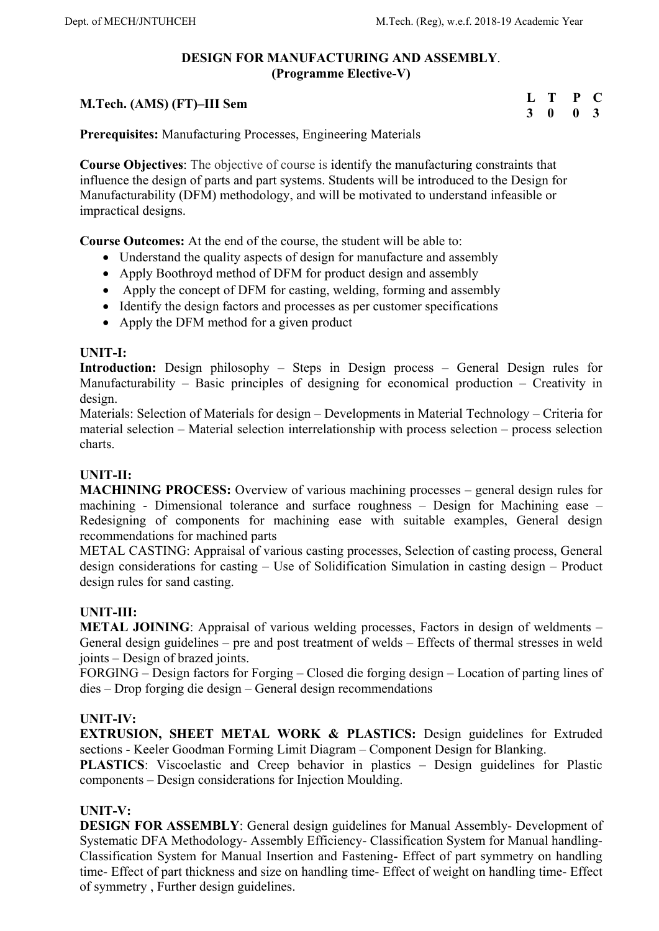# **DESIGN FOR MANUFACTURING AND ASSEMBLY**. **(Programme Elective-V)**

# **M.Tech. (AMS) (FT)–III Sem**

**L T P C 3 0 0 3** 

**Prerequisites:** Manufacturing Processes, Engineering Materials

**Course Objectives**: The objective of course is identify the manufacturing constraints that influence the design of parts and part systems. Students will be introduced to the Design for Manufacturability (DFM) methodology, and will be motivated to understand infeasible or impractical designs.

**Course Outcomes:** At the end of the course, the student will be able to:

- Understand the quality aspects of design for manufacture and assembly
- Apply Boothroyd method of DFM for product design and assembly
- Apply the concept of DFM for casting, welding, forming and assembly
- Identify the design factors and processes as per customer specifications
- Apply the DFM method for a given product

## **UNIT-I:**

**Introduction:** Design philosophy – Steps in Design process – General Design rules for Manufacturability – Basic principles of designing for economical production – Creativity in design.

Materials: Selection of Materials for design – Developments in Material Technology – Criteria for material selection – Material selection interrelationship with process selection – process selection charts.

## **UNIT-II:**

**MACHINING PROCESS:** Overview of various machining processes – general design rules for machining - Dimensional tolerance and surface roughness – Design for Machining ease – Redesigning of components for machining ease with suitable examples, General design recommendations for machined parts

METAL CASTING: Appraisal of various casting processes, Selection of casting process, General design considerations for casting – Use of Solidification Simulation in casting design – Product design rules for sand casting.

# **UNIT-III:**

**METAL JOINING:** Appraisal of various welding processes, Factors in design of weldments – General design guidelines – pre and post treatment of welds – Effects of thermal stresses in weld joints – Design of brazed joints.

FORGING – Design factors for Forging – Closed die forging design – Location of parting lines of dies – Drop forging die design – General design recommendations

## **UNIT-IV:**

**EXTRUSION, SHEET METAL WORK & PLASTICS:** Design guidelines for Extruded sections - Keeler Goodman Forming Limit Diagram – Component Design for Blanking.

**PLASTICS**: Viscoelastic and Creep behavior in plastics – Design guidelines for Plastic components – Design considerations for Injection Moulding.

## **UNIT-V:**

**DESIGN FOR ASSEMBLY**: General design guidelines for Manual Assembly- Development of Systematic DFA Methodology- Assembly Efficiency- Classification System for Manual handling-Classification System for Manual Insertion and Fastening- Effect of part symmetry on handling time- Effect of part thickness and size on handling time- Effect of weight on handling time- Effect of symmetry , Further design guidelines.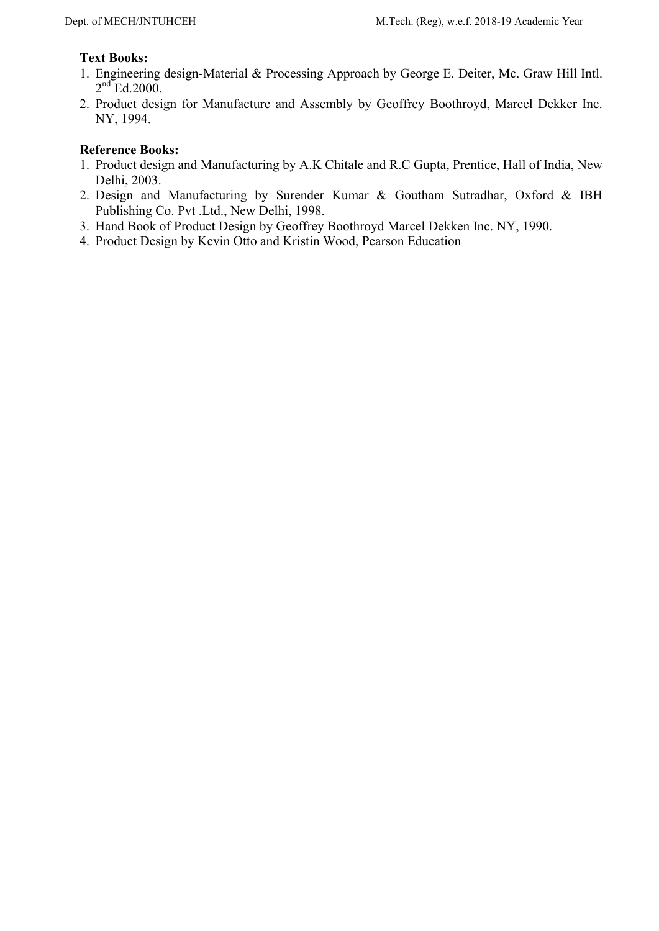## **Text Books:**

- 1. Engineering design-Material & Processing Approach by George E. Deiter, Mc. Graw Hill Intl.  $2<sup>nd</sup>$  Ed.2000.
- 2. Product design for Manufacture and Assembly by Geoffrey Boothroyd, Marcel Dekker Inc. NY, 1994.

- 1. Product design and Manufacturing by A.K Chitale and R.C Gupta, Prentice, Hall of India, New Delhi, 2003.
- 2. Design and Manufacturing by Surender Kumar & Goutham Sutradhar, Oxford & IBH Publishing Co. Pvt .Ltd., New Delhi, 1998.
- 3. Hand Book of Product Design by Geoffrey Boothroyd Marcel Dekken Inc. NY, 1990.
- 4. Product Design by Kevin Otto and Kristin Wood, Pearson Education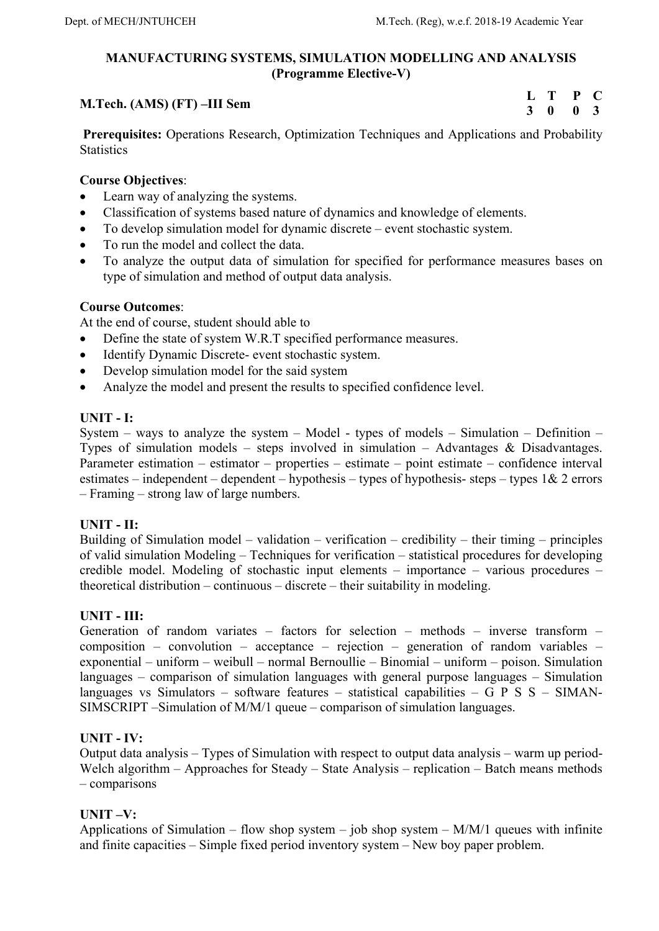# **MANUFACTURING SYSTEMS, SIMULATION MODELLING AND ANALYSIS (Programme Elective-V)**

# **M.Tech. (AMS) (FT) –III Sem**

**L T P C 3 0 0 3** 

 **Prerequisites:** Operations Research, Optimization Techniques and Applications and Probability **Statistics** 

## **Course Objectives**:

- Learn way of analyzing the systems.
- Classification of systems based nature of dynamics and knowledge of elements.
- To develop simulation model for dynamic discrete event stochastic system.
- To run the model and collect the data.
- To analyze the output data of simulation for specified for performance measures bases on type of simulation and method of output data analysis.

## **Course Outcomes**:

At the end of course, student should able to

- Define the state of system W.R.T specified performance measures.
- Identify Dynamic Discrete- event stochastic system.
- Develop simulation model for the said system
- Analyze the model and present the results to specified confidence level.

## **UNIT - I:**

System – ways to analyze the system – Model - types of models – Simulation – Definition – Types of simulation models – steps involved in simulation – Advantages & Disadvantages. Parameter estimation – estimator – properties – estimate – point estimate – confidence interval estimates – independent – dependent – hypothesis – types of hypothesis- steps – types  $1& 2$  errors – Framing – strong law of large numbers.

## **UNIT - II:**

Building of Simulation model – validation – verification – credibility – their timing – principles of valid simulation Modeling – Techniques for verification – statistical procedures for developing credible model. Modeling of stochastic input elements – importance – various procedures – theoretical distribution – continuous – discrete – their suitability in modeling.

# **UNIT - III:**

Generation of random variates – factors for selection – methods – inverse transform – composition – convolution – acceptance – rejection – generation of random variables – exponential – uniform – weibull – normal Bernoullie – Binomial – uniform – poison. Simulation languages – comparison of simulation languages with general purpose languages – Simulation languages vs Simulators – software features – statistical capabilities – G P S S – SIMAN-SIMSCRIPT –Simulation of M/M/1 queue – comparison of simulation languages.

## **UNIT - IV:**

Output data analysis – Types of Simulation with respect to output data analysis – warm up period-Welch algorithm – Approaches for Steady – State Analysis – replication – Batch means methods – comparisons

# **UNIT –V:**

Applications of Simulation – flow shop system – job shop system –  $M/M/1$  queues with infinite and finite capacities – Simple fixed period inventory system – New boy paper problem.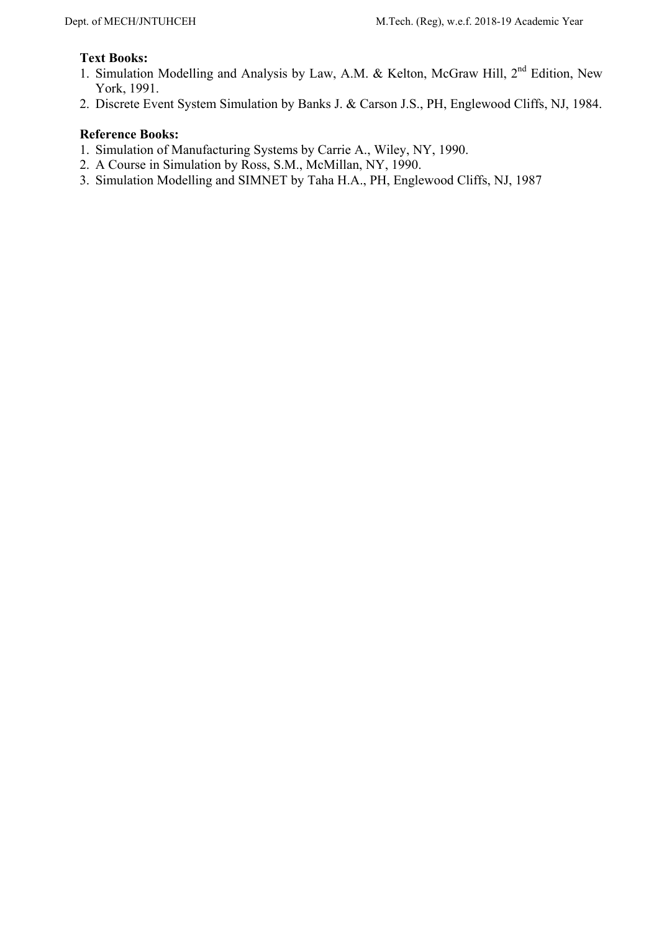## **Text Books:**

- 1. Simulation Modelling and Analysis by Law, A.M. & Kelton, McGraw Hill, 2nd Edition, New York, 1991.
- 2. Discrete Event System Simulation by Banks J. & Carson J.S., PH, Englewood Cliffs, NJ, 1984.

- 1. Simulation of Manufacturing Systems by Carrie A., Wiley, NY, 1990.
- 2. A Course in Simulation by Ross, S.M., McMillan, NY, 1990.
- 3. Simulation Modelling and SIMNET by Taha H.A., PH, Englewood Cliffs, NJ, 1987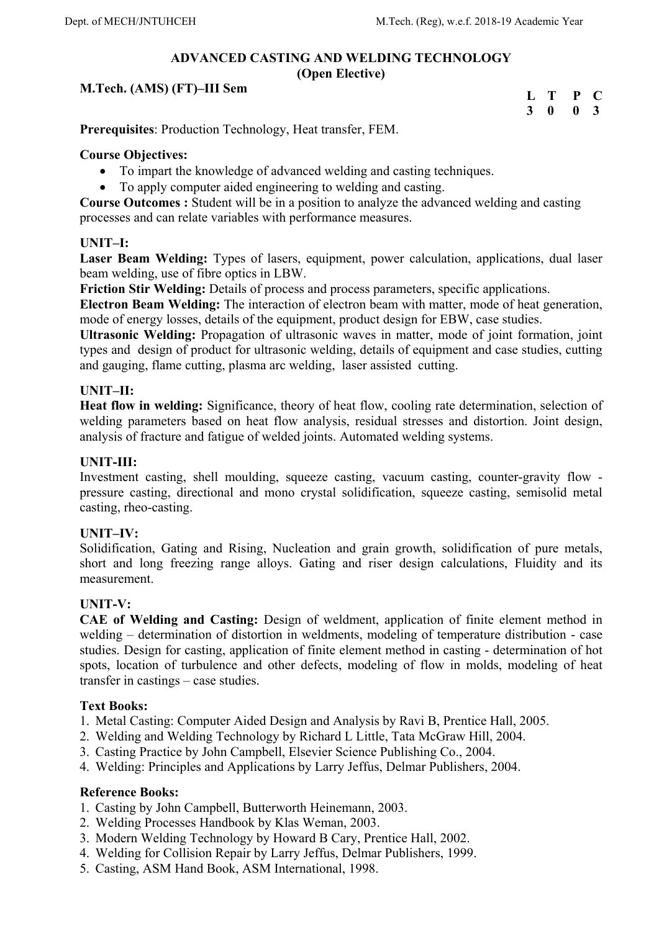# **ADVANCED CASTING AND WELDING TECHNOLOGY**

**(Open Elective)** 

## **M.Tech. (AMS) (FT)–III Sem**

| $\mathbf{L}$ | т            | P | €              |
|--------------|--------------|---|----------------|
| 3            | $\mathbf{0}$ | 0 | $\overline{3}$ |

**Prerequisites**: Production Technology, Heat transfer, FEM.

## **Course Objectives:**

- To impart the knowledge of advanced welding and casting techniques.
- To apply computer aided engineering to welding and casting.

**Course Outcomes :** Student will be in a position to analyze the advanced welding and casting processes and can relate variables with performance measures.

## **UNIT–I:**

**Laser Beam Welding:** Types of lasers, equipment, power calculation, applications, dual laser beam welding, use of fibre optics in LBW.

**Friction Stir Welding:** Details of process and process parameters, specific applications.

**Electron Beam Welding:** The interaction of electron beam with matter, mode of heat generation, mode of energy losses, details of the equipment, product design for EBW, case studies.

**Ultrasonic Welding:** Propagation of ultrasonic waves in matter, mode of joint formation, joint types and design of product for ultrasonic welding, details of equipment and case studies, cutting and gauging, flame cutting, plasma arc welding, laser assisted cutting.

# **UNIT–II:**

**Heat flow in welding:** Significance, theory of heat flow, cooling rate determination, selection of welding parameters based on heat flow analysis, residual stresses and distortion. Joint design, analysis of fracture and fatigue of welded joints. Automated welding systems.

# **UNIT-III:**

Investment casting, shell moulding, squeeze casting, vacuum casting, counter-gravity flow pressure casting, directional and mono crystal solidification, squeeze casting, semisolid metal casting, rheo-casting.

## **UNIT–IV:**

Solidification, Gating and Rising, Nucleation and grain growth, solidification of pure metals, short and long freezing range alloys. Gating and riser design calculations, Fluidity and its measurement.

## **UNIT-V:**

**CAE of Welding and Casting:** Design of weldment, application of finite element method in welding – determination of distortion in weldments, modeling of temperature distribution - case studies. Design for casting, application of finite element method in casting - determination of hot spots, location of turbulence and other defects, modeling of flow in molds, modeling of heat transfer in castings – case studies.

## **Text Books:**

- 1. Metal Casting: Computer Aided Design and Analysis by Ravi B, Prentice Hall, 2005.
- 2. Welding and Welding Technology by Richard L Little, Tata McGraw Hill, 2004.
- 3. Casting Practice by John Campbell, Elsevier Science Publishing Co., 2004.
- 4. Welding: Principles and Applications by Larry Jeffus, Delmar Publishers, 2004.

- 1. Casting by John Campbell, Butterworth Heinemann, 2003.
- 2. Welding Processes Handbook by Klas Weman, 2003.
- 3. Modern Welding Technology by Howard B Cary, Prentice Hall, 2002.
- 4. Welding for Collision Repair by Larry Jeffus, Delmar Publishers, 1999.
- 5. Casting, ASM Hand Book, ASM International, 1998.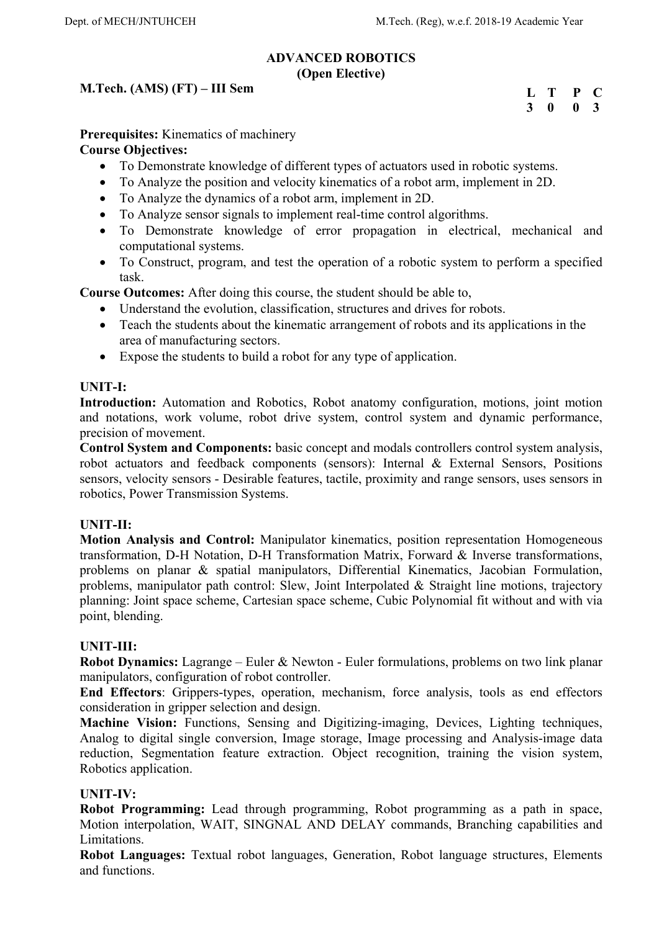## **ADVANCED ROBOTICS (Open Elective)**

# **M.Tech. (AMS) (FT) – III Sem**

**L T P C 3 0 0 3** 

**Prerequisites:** Kinematics of machinery

## **Course Objectives:**

- To Demonstrate knowledge of different types of actuators used in robotic systems.
- To Analyze the position and velocity kinematics of a robot arm, implement in 2D.
- To Analyze the dynamics of a robot arm, implement in 2D.
- To Analyze sensor signals to implement real-time control algorithms.
- To Demonstrate knowledge of error propagation in electrical, mechanical and computational systems.
- To Construct, program, and test the operation of a robotic system to perform a specified task.

**Course Outcomes:** After doing this course, the student should be able to,

- Understand the evolution, classification, structures and drives for robots.
- Teach the students about the kinematic arrangement of robots and its applications in the area of manufacturing sectors.
- Expose the students to build a robot for any type of application.

## **UNIT-I:**

Introduction: Automation and Robotics, Robot anatomy configuration, motions, joint motion and notations, work volume, robot drive system, control system and dynamic performance, precision of movement.

**Control System and Components:** basic concept and modals controllers control system analysis, robot actuators and feedback components (sensors): Internal & External Sensors, Positions sensors, velocity sensors - Desirable features, tactile, proximity and range sensors, uses sensors in robotics, Power Transmission Systems.

## **UNIT-II:**

**Motion Analysis and Control:** Manipulator kinematics, position representation Homogeneous transformation, D-H Notation, D-H Transformation Matrix, Forward & Inverse transformations, problems on planar & spatial manipulators, Differential Kinematics, Jacobian Formulation, problems, manipulator path control: Slew, Joint Interpolated & Straight line motions, trajectory planning: Joint space scheme, Cartesian space scheme, Cubic Polynomial fit without and with via point, blending.

## **UNIT-III:**

**Robot Dynamics:** Lagrange – Euler & Newton - Euler formulations, problems on two link planar manipulators, configuration of robot controller.

**End Effectors**: Grippers-types, operation, mechanism, force analysis, tools as end effectors consideration in gripper selection and design.

**Machine Vision:** Functions, Sensing and Digitizing-imaging, Devices, Lighting techniques, Analog to digital single conversion, Image storage, Image processing and Analysis-image data reduction, Segmentation feature extraction. Object recognition, training the vision system, Robotics application.

## **UNIT-IV:**

**Robot Programming:** Lead through programming, Robot programming as a path in space, Motion interpolation, WAIT, SINGNAL AND DELAY commands, Branching capabilities and Limitations.

**Robot Languages:** Textual robot languages, Generation, Robot language structures, Elements and functions.